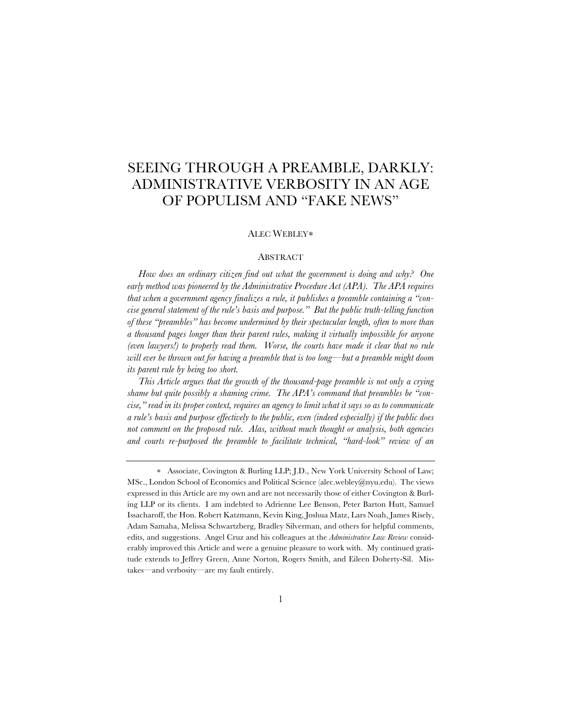# SEEING THROUGH A PREAMBLE, DARKLY: ADMINISTRATIVE VERBOSITY IN AN AGE OF POPULISM AND "FAKE NEWS"

# ALEC WEBLEY∗

# ABSTRACT

*How does an ordinary citizen find out what the government is doing and why? One early method was pioneered by the Administrative Procedure Act (APA). The APA requires that when a government agency finalizes a rule, it publishes a preamble containing a "concise general statement of the rule's basis and purpose." But the public truth-telling function of these "preambles" has become undermined by their spectacular length, often to more than a thousand pages longer than their parent rules, making it virtually impossible for anyone (even lawyers!) to properly read them. Worse, the courts have made it clear that no rule will ever be thrown out for having a preamble that is too long—but a preamble might doom its parent rule by being too short.*

*This Article argues that the growth of the thousand-page preamble is not only a crying shame but quite possibly a shaming crime. The APA's command that preambles be "concise," read in its proper context, requires an agency to limit what it says so as to communicate a rule's basis and purpose effectively to the public, even (indeed especially) if the public does not comment on the proposed rule. Alas, without much thought or analysis, both agencies and courts re-purposed the preamble to facilitate technical, "hard-look" review of an* 

<sup>∗</sup> Associate, Covington & Burling LLP; J.D., New York University School of Law; MSc., London School of Economics and Political Science (alec.webley@nyu.edu). The views expressed in this Article are my own and are not necessarily those of either Covington & Burling LLP or its clients. I am indebted to Adrienne Lee Benson, Peter Barton Hutt, Samuel Issacharoff, the Hon. Robert Katzmann, Kevin King, Joshua Matz, Lars Noah, James Risely, Adam Samaha, Melissa Schwartzberg, Bradley Silverman, and others for helpful comments, edits, and suggestions. Angel Cruz and his colleagues at the *Administrative Law Review* considerably improved this Article and were a genuine pleasure to work with. My continued gratitude extends to Jeffrey Green, Anne Norton, Rogers Smith, and Eileen Doherty-Sil. Mistakes—and verbosity—are my fault entirely.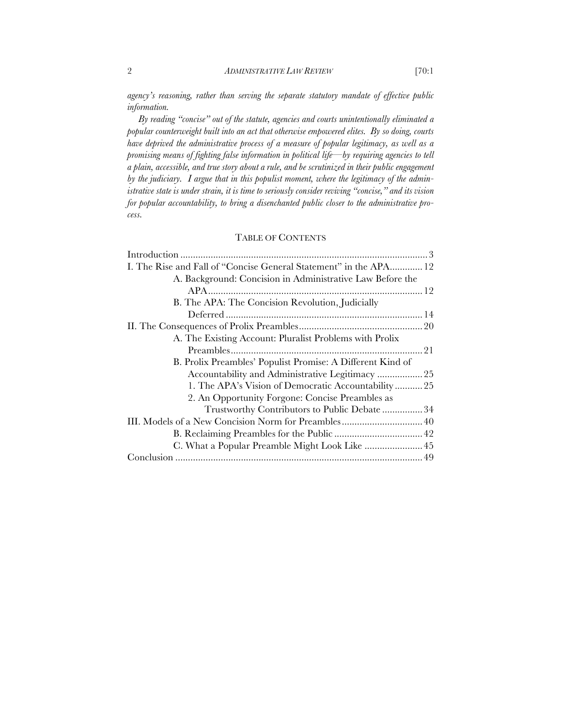*agency's reasoning, rather than serving the separate statutory mandate of effective public information.*

*By reading "concise" out of the statute, agencies and courts unintentionally eliminated a popular counterweight built into an act that otherwise empowered elites. By so doing, courts have deprived the administrative process of a measure of popular legitimacy, as well as a promising means of fighting false information in political life—by requiring agencies to tell a plain, accessible, and true story about a rule, and be scrutinized in their public engagement by the judiciary. I argue that in this populist moment, where the legitimacy of the administrative state is under strain, it is time to seriously consider reviving "concise," and its vision for popular accountability, to bring a disenchanted public closer to the administrative process.*

# TABLE OF CONTENTS

| I. The Rise and Fall of "Concise General Statement" in the APA 12 |  |
|-------------------------------------------------------------------|--|
| A. Background: Concision in Administrative Law Before the         |  |
|                                                                   |  |
| B. The APA: The Concision Revolution, Judicially                  |  |
|                                                                   |  |
|                                                                   |  |
| A. The Existing Account: Pluralist Problems with Prolix           |  |
|                                                                   |  |
| B. Prolix Preambles' Populist Promise: A Different Kind of        |  |
| Accountability and Administrative Legitimacy  25                  |  |
| 1. The APA's Vision of Democratic Accountability25                |  |
| 2. An Opportunity Forgone: Concise Preambles as                   |  |
| Trustworthy Contributors to Public Debate  34                     |  |
|                                                                   |  |
|                                                                   |  |
| C. What a Popular Preamble Might Look Like  45                    |  |
|                                                                   |  |
|                                                                   |  |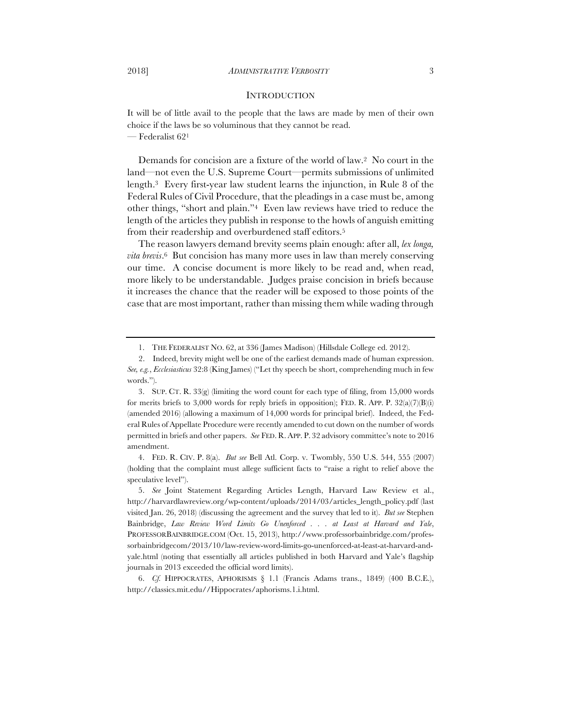## **INTRODUCTION**

It will be of little avail to the people that the laws are made by men of their own choice if the laws be so voluminous that they cannot be read. — Federalist 621

Demands for concision are a fixture of the world of law.2 No court in the land—not even the U.S. Supreme Court—permits submissions of unlimited length.3 Every first-year law student learns the injunction, in Rule 8 of the Federal Rules of Civil Procedure, that the pleadings in a case must be, among other things, "short and plain."4 Even law reviews have tried to reduce the length of the articles they publish in response to the howls of anguish emitting from their readership and overburdened staff editors.5

The reason lawyers demand brevity seems plain enough: after all, *lex longa, vita brevis*.6 But concision has many more uses in law than merely conserving our time. A concise document is more likely to be read and, when read, more likely to be understandable. Judges praise concision in briefs because it increases the chance that the reader will be exposed to those points of the case that are most important, rather than missing them while wading through

4. FED. R. CIV. P. 8(a). *But see* Bell Atl. Corp. v. Twombly, 550 U.S. 544, 555 (2007) (holding that the complaint must allege sufficient facts to "raise a right to relief above the speculative level").

<sup>1.</sup> THE FEDERALIST NO. 62, at 336 (James Madison) (Hillsdale College ed. 2012).

 <sup>2.</sup> Indeed, brevity might well be one of the earliest demands made of human expression. *See, e.g.*, *Ecclesiasticus* 32:8 (King James) ("Let thy speech be short, comprehending much in few words.").

<sup>3.</sup> SUP. CT. R. 33(g) (limiting the word count for each type of filing, from 15,000 words for merits briefs to 3,000 words for reply briefs in opposition); FED. R. APP. P. 32(a)(7)(B)(i) (amended 2016) (allowing a maximum of 14,000 words for principal brief). Indeed, the Federal Rules of Appellate Procedure were recently amended to cut down on the number of words permitted in briefs and other papers. *See* FED. R. APP. P. 32 advisory committee's note to 2016 amendment.

<sup>5.</sup> *See* Joint Statement Regarding Articles Length, Harvard Law Review et al., http://harvardlawreview.org/wp-content/uploads/2014/03/articles\_length\_policy.pdf (last visited Jan. 26, 2018) (discussing the agreement and the survey that led to it). *But see* Stephen Bainbridge, *Law Review Word Limits Go Unenforced . . . at Least at Harvard and Yale*, PROFESSORBAINBRIDGE.COM (Oct. 15, 2013), http://www.professorbainbridge.com/professorbainbridgecom/2013/10/law-review-word-limits-go-unenforced-at-least-at-harvard-andyale.html (noting that essentially all articles published in both Harvard and Yale's flagship journals in 2013 exceeded the official word limits).

<sup>6.</sup> *Cf.* HIPPOCRATES, APHORISMS § 1.1 (Francis Adams trans., 1849) (400 B.C.E.), http://classics.mit.edu//Hippocrates/aphorisms.1.i.html.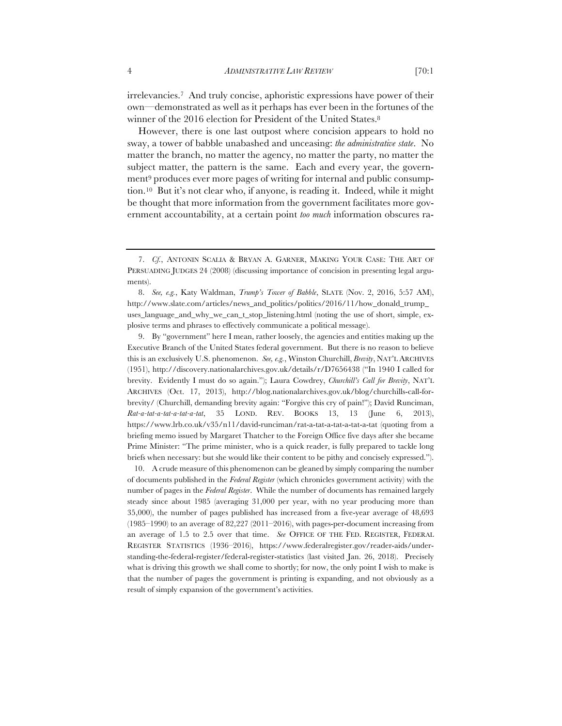irrelevancies.7 And truly concise, aphoristic expressions have power of their own—demonstrated as well as it perhaps has ever been in the fortunes of the winner of the 2016 election for President of the United States.8

However, there is one last outpost where concision appears to hold no sway, a tower of babble unabashed and unceasing: *the administrative state*. No matter the branch, no matter the agency, no matter the party, no matter the subject matter, the pattern is the same. Each and every year, the government<sup>9</sup> produces ever more pages of writing for internal and public consumption.10 But it's not clear who, if anyone, is reading it. Indeed, while it might be thought that more information from the government facilitates more government accountability, at a certain point *too much* information obscures ra-

9. By "government" here I mean, rather loosely, the agencies and entities making up the Executive Branch of the United States federal government. But there is no reason to believe this is an exclusively U.S. phenomenon. *See, e.g.*, Winston Churchill, *Brevity*, NAT'L ARCHIVES (1951), http://discovery.nationalarchives.gov.uk/details/r/D7656438 ("In 1940 I called for brevity. Evidently I must do so again."); Laura Cowdrey, *Churchill's Call for Brevity*, NAT'L ARCHIVES (Oct. 17, 2013), http://blog.nationalarchives.gov.uk/blog/churchills-call-forbrevity/ (Churchill, demanding brevity again: "Forgive this cry of pain!"); David Runciman, Rat-a-tat-a-tat-a-tat-a-tat, 35 LOND. REV. BOOKS 13, 13 (June 6, https://www.lrb.co.uk/v35/n11/david-runciman/rat-a-tat-a-tat-a-tat-a-tat (quoting from a briefing memo issued by Margaret Thatcher to the Foreign Office five days after she became Prime Minister: "The prime minister, who is a quick reader, is fully prepared to tackle long briefs when necessary: but she would like their content to be pithy and concisely expressed.").

10. A crude measure of this phenomenon can be gleaned by simply comparing the number of documents published in the *Federal Register* (which chronicles government activity) with the number of pages in the *Federal Register*. While the number of documents has remained largely steady since about 1985 (averaging 31,000 per year, with no year producing more than 35,000), the number of pages published has increased from a five-year average of 48,693 (1985–1990) to an average of 82,227 (2011–2016), with pages-per-document increasing from an average of 1.5 to 2.5 over that time. *See* OFFICE OF THE FED. REGISTER, FEDERAL REGISTER STATISTICS (1936–2016), https://www.federalregister.gov/reader-aids/understanding-the-federal-register/federal-register-statistics (last visited Jan. 26, 2018). Precisely what is driving this growth we shall come to shortly; for now, the only point I wish to make is that the number of pages the government is printing is expanding, and not obviously as a result of simply expansion of the government's activities.

<sup>7.</sup> *Cf.*, ANTONIN SCALIA & BRYAN A. GARNER, MAKING YOUR CASE: THE ART OF PERSUADING JUDGES 24 (2008) (discussing importance of concision in presenting legal arguments).

<sup>8.</sup> *See, e.g.*, Katy Waldman, *Trump's Tower of Babble*, SLATE (Nov. 2, 2016, 5:57 AM), http://www.slate.com/articles/news\_and\_politics/politics/2016/11/how\_donald\_trump\_ uses language and why we can t stop listening.html (noting the use of short, simple, explosive terms and phrases to effectively communicate a political message).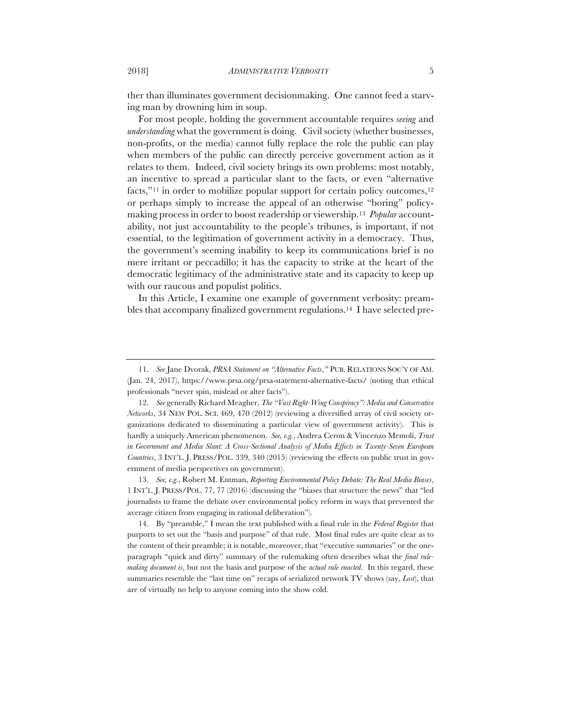ther than illuminates government decisionmaking. One cannot feed a starving man by drowning him in soup.

For most people, holding the government accountable requires *seeing* and *understanding* what the government is doing. Civil society (whether businesses, non-profits, or the media) cannot fully replace the role the public can play when members of the public can directly perceive government action as it relates to them. Indeed, civil society brings its own problems: most notably, an incentive to spread a particular slant to the facts, or even "alternative facts,"<sup>11</sup> in order to mobilize popular support for certain policy outcomes,<sup>12</sup> or perhaps simply to increase the appeal of an otherwise "boring" policymaking process in order to boost readership or viewership.13 *Popular* accountability, not just accountability to the people's tribunes, is important, if not essential, to the legitimation of government activity in a democracy. Thus, the government's seeming inability to keep its communications brief is no mere irritant or peccadillo; it has the capacity to strike at the heart of the democratic legitimacy of the administrative state and its capacity to keep up with our raucous and populist politics.

In this Article, I examine one example of government verbosity: preambles that accompany finalized government regulations.14 I have selected pre-

<sup>11.</sup> *See* Jane Dvorak, *PRSA Statement on "Alternative Facts*,*"* PUB. RELATIONS SOC'Y OF AM. (Jan. 24, 2017), https://www.prsa.org/prsa-statement-alternative-facts/ (noting that ethical professionals "never spin, mislead or alter facts").

<sup>12.</sup> *See* generally Richard Meagher, *The "Vast Right-Wing Conspiracy": Media and Conservative Networks*, 34 NEW POL. SCI. 469, 470 (2012) (reviewing a diversified array of civil society organizations dedicated to disseminating a particular view of government activity). This is hardly a uniquely American phenomenon. *See, e.g.*, Andrea Ceron & Vincenzo Memoli, *Trust in Government and Media Slant: A Cross-Sectional Analysis of Media Effects in Twenty-Seven European Countries*, 3 INT'L. J. PRESS/POL. 339, 340 (2015) (reviewing the effects on public trust in government of media perspectives on government).

<sup>13.</sup> *See, e.g.*, Robert M. Entman, *Reporting Environmental Policy Debate: The Real Media Biases*, 1 INT'L. J. PRESS/POL. 77, 77 (2016) (discussing the "biases that structure the news" that "led journalists to frame the debate over environmental policy reform in ways that prevented the average citizen from engaging in rational deliberation").

<sup>14.</sup> By "preamble," I mean the text published with a final rule in the *Federal Register* that purports to set out the "basis and purpose" of that rule. Most final rules are quite clear as to the content of their preamble; it is notable, moreover, that "executive summaries" or the oneparagraph "quick and dirty" summary of the rulemaking often describes what the *final rulemaking document is*, but not the basis and purpose of the *actual rule enacted*. In this regard, these summaries resemble the "last time on" recaps of serialized network TV shows (say, *Lost*), that are of virtually no help to anyone coming into the show cold.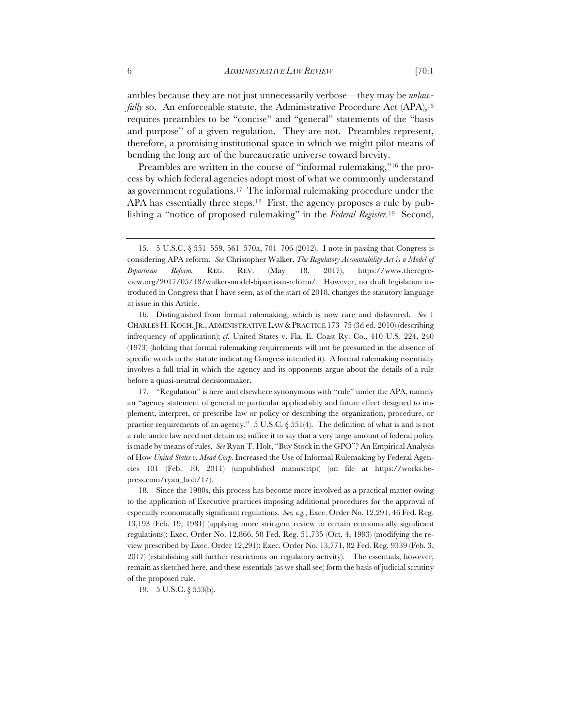ambles because they are not just unnecessarily verbose—they may be *unlawfully* so. An enforceable statute, the Administrative Procedure Act (APA),<sup>15</sup> requires preambles to be "concise" and "general" statements of the "basis and purpose" of a given regulation. They are not. Preambles represent, therefore, a promising institutional space in which we might pilot means of bending the long arc of the bureaucratic universe toward brevity.

Preambles are written in the course of "informal rulemaking,"16 the process by which federal agencies adopt most of what we commonly understand as government regulations.17 The informal rulemaking procedure under the APA has essentially three steps.<sup>18</sup> First, the agency proposes a rule by publishing a "notice of proposed rulemaking" in the *Federal Register*.19 Second,

17. "Regulation" is here and elsewhere synonymous with "rule" under the APA, namely an "agency statement of general or particular applicability and future effect designed to implement, interpret, or prescribe law or policy or describing the organization, procedure, or practice requirements of an agency." 5 U.S.C. § 551(4). The definition of what is and is not a rule under law need not detain us; suffice it to say that a very large amount of federal policy is made by means of rules. *See* Ryan T. Holt, "Buy Stock in the GPO"? An Empirical Analysis of How *United States v. Mead Corp.* Increased the Use of Informal Rulemaking by Federal Agencies 101 (Feb. 10, 2011) (unpublished manuscript) (on file at https://works.bepress.com/ryan\_holt/1/).

18. Since the 1980s, this process has become more involved as a practical matter owing to the application of Executive practices imposing additional procedures for the approval of especially economically significant regulations. *See, e.g.*, Exec. Order No. 12,291, 46 Fed. Reg. 13,193 (Feb. 19, 1981) (applying more stringent review to certain economically significant regulations); Exec. Order No. 12,866, 58 Fed. Reg. 51,735 (Oct. 4, 1993) (modifying the review prescribed by Exec. Order 12,291); Exec. Order No. 13,771, 82 Fed. Reg. 9339 (Feb. 3, 2017) (establishing still further restrictions on regulatory activity). The essentials, however, remain as sketched here, and these essentials (as we shall see) form the basis of judicial scrutiny of the proposed rule.

19. 5 U.S.C. § 553(b).

<sup>15.</sup> 5 U.S.C. § 551–559, 561–570a, 701–706 (2012). I note in passing that Congress is considering APA reform. *See* Christopher Walker, *The Regulatory Accountability Act is a Model of Bipartisan Reform,* REG. REV. (May 18, 2017), https://www.theregreview.org/2017/05/18/walker-model-bipartisan-reform/. However, no draft legislation introduced in Congress that I have seen, as of the start of 2018, changes the statutory language at issue in this Article.

<sup>16.</sup> Distinguished from formal rulemaking, which is now rare and disfavored. *See* 1 CHARLES H. KOCH,JR., ADMINISTRATIVE LAW & PRACTICE 173–75 (3d ed. 2010) (describing infrequency of application); *cf.* United States v. Fla. E. Coast Ry. Co., 410 U.S. 224, 240 (1973) (holding that formal rulemaking requirements will not be presumed in the absence of specific words in the statute indicating Congress intended it). A formal rulemaking essentially involves a full trial in which the agency and its opponents argue about the details of a rule before a quasi-neutral decisionmaker.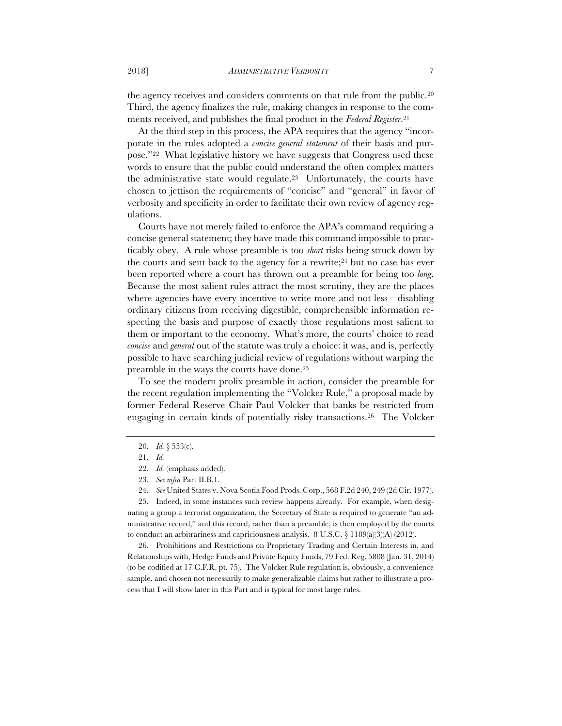the agency receives and considers comments on that rule from the public.20 Third, the agency finalizes the rule, making changes in response to the comments received, and publishes the final product in the *Federal Register*.21

At the third step in this process, the APA requires that the agency "incorporate in the rules adopted a *concise general statement* of their basis and purpose."22 What legislative history we have suggests that Congress used these words to ensure that the public could understand the often complex matters the administrative state would regulate.23 Unfortunately, the courts have chosen to jettison the requirements of "concise" and "general" in favor of verbosity and specificity in order to facilitate their own review of agency regulations.

Courts have not merely failed to enforce the APA's command requiring a concise general statement; they have made this command impossible to practicably obey. A rule whose preamble is too *short* risks being struck down by the courts and sent back to the agency for a rewrite;<sup>24</sup> but no case has ever been reported where a court has thrown out a preamble for being too *long*. Because the most salient rules attract the most scrutiny, they are the places where agencies have every incentive to write more and not less—disabling ordinary citizens from receiving digestible, comprehensible information respecting the basis and purpose of exactly those regulations most salient to them or important to the economy. What's more, the courts' choice to read *concise* and *general* out of the statute was truly a choice: it was, and is, perfectly possible to have searching judicial review of regulations without warping the preamble in the ways the courts have done.25

To see the modern prolix preamble in action, consider the preamble for the recent regulation implementing the "Volcker Rule," a proposal made by former Federal Reserve Chair Paul Volcker that banks be restricted from engaging in certain kinds of potentially risky transactions.26 The Volcker

26. Prohibitions and Restrictions on Proprietary Trading and Certain Interests in, and Relationships with, Hedge Funds and Private Equity Funds, 79 Fed. Reg. 5808 (Jan. 31, 2014) (to be codified at 17 C.F.R. pt. 75)*.* The Volcker Rule regulation is, obviously, a convenience sample, and chosen not necessarily to make generalizable claims but rather to illustrate a process that I will show later in this Part and is typical for most large rules.

<sup>20.</sup> *Id.* § 553(c).

<sup>21.</sup> *Id.*

<sup>22.</sup> *Id.* (emphasis added).

<sup>23.</sup> *See infra* Part II.B.1.

<sup>24.</sup> *See* United States v. Nova Scotia Food Prods. Corp., 568 F.2d 240, 249 (2d Cir. 1977).

<sup>25.</sup> Indeed, in some instances such review happens already. For example, when designating a group a terrorist organization, the Secretary of State is required to generate "an administrative record," and this record, rather than a preamble, is then employed by the courts to conduct an arbitrariness and capriciousness analysis. 8 U.S.C. § 1189(a)(3)(A) (2012).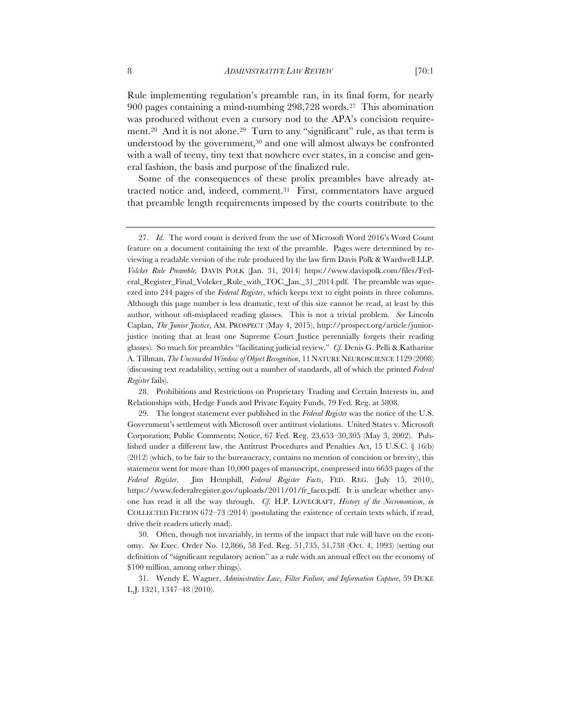Rule implementing regulation's preamble ran, in its final form, for nearly 900 pages containing a mind-numbing 298,728 words.27 This abomination was produced without even a cursory nod to the APA's concision requirement.28 And it is not alone.29 Turn to any "significant" rule, as that term is understood by the government,<sup>30</sup> and one will almost always be confronted with a wall of teeny, tiny text that nowhere ever states, in a concise and general fashion, the basis and purpose of the finalized rule.

Some of the consequences of these prolix preambles have already attracted notice and, indeed, comment.31 First, commentators have argued that preamble length requirements imposed by the courts contribute to the

<sup>27.</sup> *Id.* The word count is derived from the use of Microsoft Word 2016's Word Count feature on a document containing the text of the preamble. Pages were determined by reviewing a readable version of the rule produced by the law firm Davis Polk & Wardwell LLP. *Volcker Rule Preamble,* DAVIS POLK (Jan. 31, 2014) https://www.davispolk.com/files/Federal\_Register\_Final\_Volcker\_Rule\_with\_TOC\_Jan.\_31\_2014.pdf. The preamble was squeezed into 244 pages of the *Federal Register*, which keeps text to eight points in three columns. Although this page number is less dramatic, text of this size cannot be read, at least by this author, without oft-misplaced reading glasses. This is not a trivial problem. *See* Lincoln Caplan, *The Junior Justice*, AM. PROSPECT (May 4, 2015), http://prospect.org/article/juniorjustice (noting that at least one Supreme Court Justice perennially forgets their reading glasses). So much for preambles "facilitating judicial review." *Cf.* Denis G. Pelli & Katharine A. Tillman, *The Uncrowded Window of Object Recognition*, 11 NATURE NEUROSCIENCE 1129 (2008) (discussing text readability, setting out a number of standards, all of which the printed *Federal Register* fails).

<sup>28.</sup> Prohibitions and Restrictions on Proprietary Trading and Certain Interests in, and Relationships with, Hedge Funds and Private Equity Funds, 79 Fed. Reg. at 5808.

<sup>29.</sup> The longest statement ever published in the *Federal Register* was the notice of the U.S. Government's settlement with Microsoft over antitrust violations. United States v. Microsoft Corporation; Public Comments; Notice, 67 Fed. Reg. 23,653–30,305 (May 3, 2002). Published under a different law, the Antitrust Procedures and Penalties Act, 15 U.S.C. § 16(b)  $(2012)$  (which, to be fair to the bureaucracy, contains no mention of concision or brevity), this statement went for more than 10,000 pages of manuscript, compressed into 6653 pages of the *Federal Register*. Jim Hemphill, *Federal Register Facts*, FED. REG. (July 15, 2010), https://www.federalregister.gov/uploads/2011/01/fr\_facts.pdf. It is unclear whether anyone has read it all the way through. *Cf.* H.P. LOVECRAFT, *History of the Necronomicon*, *in* COLLECTED FICTION 672–73 (2014) (postulating the existence of certain texts which, if read, drive their readers utterly mad).

<sup>30.</sup> Often, though not invariably, in terms of the impact that rule will have on the economy. *See* Exec. Order No. 12,866, 58 Fed. Reg. 51,735, 51,738 (Oct. 4, 1993) (setting out definition of "significant regulatory action" as a rule with an annual effect on the economy of \$100 million, among other things).

<sup>31.</sup> Wendy E. Wagner, *Administrative Law, Filter Failure, and Information Capture*, 59 DUKE L.J. 1321, 1347–48 (2010).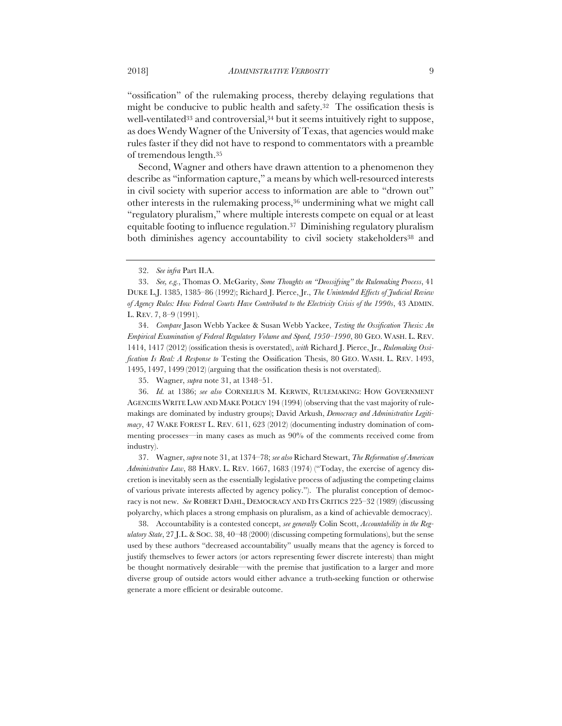"ossification" of the rulemaking process, thereby delaying regulations that might be conducive to public health and safety.32 The ossification thesis is well-ventilated<sup>33</sup> and controversial,<sup>34</sup> but it seems intuitively right to suppose, as does Wendy Wagner of the University of Texas, that agencies would make rules faster if they did not have to respond to commentators with a preamble of tremendous length.35

Second, Wagner and others have drawn attention to a phenomenon they describe as "information capture," a means by which well-resourced interests in civil society with superior access to information are able to "drown out" other interests in the rulemaking process,36 undermining what we might call "regulatory pluralism," where multiple interests compete on equal or at least equitable footing to influence regulation.37 Diminishing regulatory pluralism both diminishes agency accountability to civil society stakeholders<sup>38</sup> and

34. *Compare* Jason Webb Yackee & Susan Webb Yackee, *Testing the Ossification Thesis: An Empirical Examination of Federal Regulatory Volume and Speed, 1950–1990*, 80 GEO. WASH. L. REV. 1414, 1417 (2012) (ossification thesis is overstated), *with* Richard J. Pierce, Jr., *Rulemaking Ossification Is Real: A Response to* Testing the Ossification Thesis, 80 GEO. WASH. L. REV. 1493, 1495, 1497, 1499 (2012) (arguing that the ossification thesis is not overstated).

35. Wagner, *supra* note 31, at 1348–51.

36. *Id.* at 1386; *see also* CORNELIUS M. KERWIN, RULEMAKING: HOW GOVERNMENT AGENCIES WRITE LAW AND MAKE POLICY 194 (1994) (observing that the vast majority of rulemakings are dominated by industry groups); David Arkush, *Democracy and Administrative Legitimacy*, 47 WAKE FOREST L. REV. 611, 623 (2012) (documenting industry domination of commenting processes—in many cases as much as 90% of the comments received come from industry).

37. Wagner, *supra* note 31, at 1374–78; *see also* Richard Stewart, *The Reformation of American Administrative Law*, 88 HARV. L. REV. 1667, 1683 (1974) ("Today, the exercise of agency discretion is inevitably seen as the essentially legislative process of adjusting the competing claims of various private interests affected by agency policy."). The pluralist conception of democracy is not new. *See* ROBERT DAHL, DEMOCRACY AND ITS CRITICS 225–32 (1989) (discussing polyarchy, which places a strong emphasis on pluralism, as a kind of achievable democracy).

38. Accountability is a contested concept, *see generally* Colin Scott, *Accountability in the Regulatory State*, 27 J.L.&SOC. 38, 40–48 (2000) (discussing competing formulations), but the sense used by these authors "decreased accountability" usually means that the agency is forced to justify themselves to fewer actors (or actors representing fewer discrete interests) than might be thought normatively desirable—with the premise that justification to a larger and more diverse group of outside actors would either advance a truth-seeking function or otherwise generate a more efficient or desirable outcome.

<sup>32.</sup> *See infra* Part II.A.

<sup>33.</sup> *See, e.g.*, Thomas O. McGarity, *Some Thoughts on "Deossifying" the Rulemaking Process*, 41 DUKE L.J. 1385, 1385–86 (1992); Richard J. Pierce, Jr., *The Unintended Effects of Judicial Review of Agency Rules: How Federal Courts Have Contributed to the Electricity Crisis of the 1990s*, 43 ADMIN. L. REV. 7, 8–9 (1991).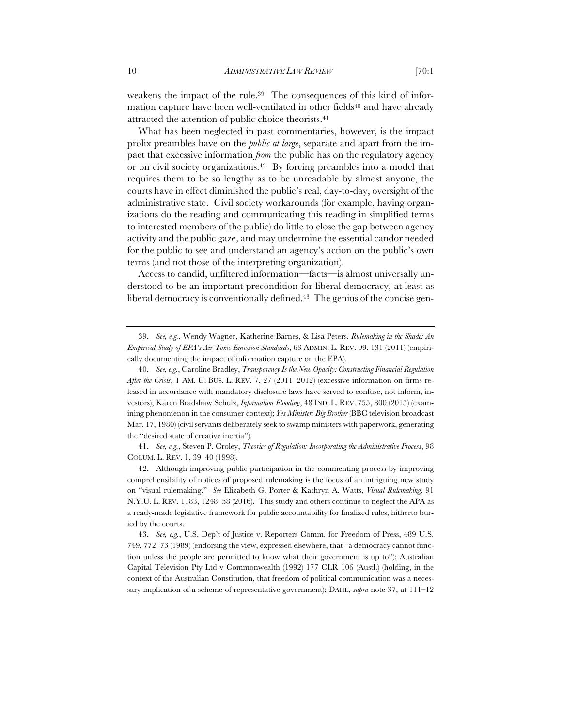weakens the impact of the rule.39 The consequences of this kind of information capture have been well-ventilated in other fields<sup>40</sup> and have already attracted the attention of public choice theorists.41

What has been neglected in past commentaries, however, is the impact prolix preambles have on the *public at large*, separate and apart from the impact that excessive information *from* the public has on the regulatory agency or on civil society organizations.42 By forcing preambles into a model that requires them to be so lengthy as to be unreadable by almost anyone, the courts have in effect diminished the public's real, day-to-day, oversight of the administrative state. Civil society workarounds (for example, having organizations do the reading and communicating this reading in simplified terms to interested members of the public) do little to close the gap between agency activity and the public gaze, and may undermine the essential candor needed for the public to see and understand an agency's action on the public's own terms (and not those of the interpreting organization).

Access to candid, unfiltered information—facts—is almost universally understood to be an important precondition for liberal democracy, at least as liberal democracy is conventionally defined.<sup>43</sup> The genius of the concise gen-

41. *See, e.g.*, Steven P. Croley, *Theories of Regulation: Incorporating the Administrative Process*, 98 COLUM. L. REV. 1, 39–40 (1998).

<sup>39.</sup> *See, e.g.*, Wendy Wagner, Katherine Barnes, & Lisa Peters, *Rulemaking in the Shade: An Empirical Study of EPA's Air Toxic Emission Standards*, 63 ADMIN. L. REV. 99, 131 (2011) (empirically documenting the impact of information capture on the EPA).

<sup>40.</sup> *See, e.g.*, Caroline Bradley, *Transparency Is the New Opacity: Constructing Financial Regulation After the Crisis*, 1 AM. U. BUS. L. REV. 7, 27 (2011–2012) (excessive information on firms released in accordance with mandatory disclosure laws have served to confuse, not inform, investors); Karen Bradshaw Schulz, *Information Flooding*, 48 IND. L. REV. 755, 800 (2015) (examining phenomenon in the consumer context); *Yes Minister: Big Brother* (BBC television broadcast Mar. 17, 1980) (civil servants deliberately seek to swamp ministers with paperwork, generating the "desired state of creative inertia").

<sup>42.</sup> Although improving public participation in the commenting process by improving comprehensibility of notices of proposed rulemaking is the focus of an intriguing new study on "visual rulemaking." *See* Elizabeth G. Porter & Kathryn A. Watts, *Visual Rulemaking*, 91 N.Y.U. L. REV. 1183, 1248–58 (2016). This study and others continue to neglect the APA as a ready-made legislative framework for public accountability for finalized rules, hitherto buried by the courts.

<sup>43.</sup> *See, e.g.*, U.S. Dep't of Justice v. Reporters Comm. for Freedom of Press, 489 U.S. 749, 772–73 (1989) (endorsing the view, expressed elsewhere, that "a democracy cannot function unless the people are permitted to know what their government is up to"); Australian Capital Television Pty Ltd v Commonwealth (1992) 177 CLR 106 (Austl.) (holding, in the context of the Australian Constitution, that freedom of political communication was a necessary implication of a scheme of representative government); DAHL, *supra* note 37, at 111–12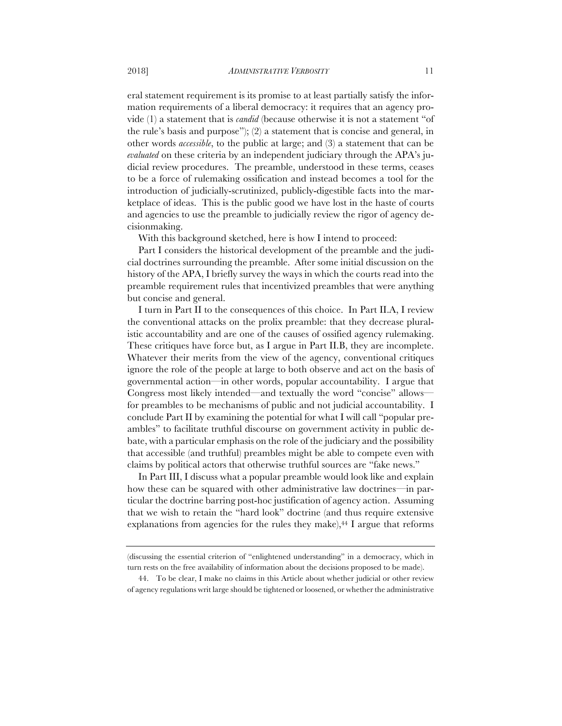eral statement requirement is its promise to at least partially satisfy the information requirements of a liberal democracy: it requires that an agency provide (1) a statement that is *candid* (because otherwise it is not a statement "of the rule's basis and purpose"); (2) a statement that is concise and general, in other words *accessible*, to the public at large; and (3) a statement that can be *evaluated* on these criteria by an independent judiciary through the APA's judicial review procedures. The preamble, understood in these terms, ceases to be a force of rulemaking ossification and instead becomes a tool for the introduction of judicially-scrutinized, publicly-digestible facts into the marketplace of ideas. This is the public good we have lost in the haste of courts and agencies to use the preamble to judicially review the rigor of agency decisionmaking.

With this background sketched, here is how I intend to proceed:

Part I considers the historical development of the preamble and the judicial doctrines surrounding the preamble. After some initial discussion on the history of the APA, I briefly survey the ways in which the courts read into the preamble requirement rules that incentivized preambles that were anything but concise and general.

I turn in Part II to the consequences of this choice. In Part II.A, I review the conventional attacks on the prolix preamble: that they decrease pluralistic accountability and are one of the causes of ossified agency rulemaking. These critiques have force but, as I argue in Part II.B, they are incomplete. Whatever their merits from the view of the agency, conventional critiques ignore the role of the people at large to both observe and act on the basis of governmental action—in other words, popular accountability. I argue that Congress most likely intended—and textually the word "concise" allows for preambles to be mechanisms of public and not judicial accountability. I conclude Part II by examining the potential for what I will call "popular preambles" to facilitate truthful discourse on government activity in public debate, with a particular emphasis on the role of the judiciary and the possibility that accessible (and truthful) preambles might be able to compete even with claims by political actors that otherwise truthful sources are "fake news."

In Part III, I discuss what a popular preamble would look like and explain how these can be squared with other administrative law doctrines—in particular the doctrine barring post-hoc justification of agency action. Assuming that we wish to retain the "hard look" doctrine (and thus require extensive explanations from agencies for the rules they make), $44$  I argue that reforms

<sup>(</sup>discussing the essential criterion of "enlightened understanding" in a democracy, which in turn rests on the free availability of information about the decisions proposed to be made).

<sup>44.</sup> To be clear, I make no claims in this Article about whether judicial or other review of agency regulations writ large should be tightened or loosened, or whether the administrative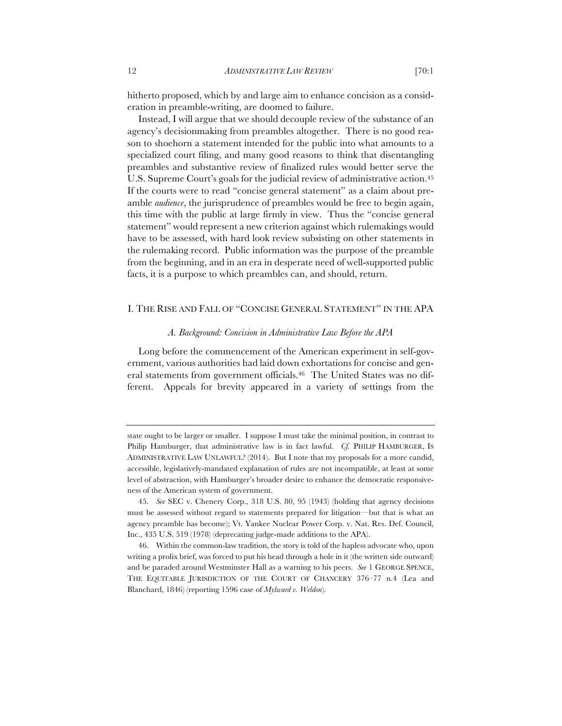hitherto proposed, which by and large aim to enhance concision as a consideration in preamble-writing, are doomed to failure.

Instead, I will argue that we should decouple review of the substance of an agency's decisionmaking from preambles altogether. There is no good reason to shoehorn a statement intended for the public into what amounts to a specialized court filing, and many good reasons to think that disentangling preambles and substantive review of finalized rules would better serve the U.S. Supreme Court's goals for the judicial review of administrative action.<sup>45</sup> If the courts were to read "concise general statement" as a claim about preamble *audience*, the jurisprudence of preambles would be free to begin again, this time with the public at large firmly in view. Thus the "concise general statement" would represent a new criterion against which rulemakings would have to be assessed, with hard look review subsisting on other statements in the rulemaking record. Public information was the purpose of the preamble from the beginning, and in an era in desperate need of well-supported public facts, it is a purpose to which preambles can, and should, return.

# I. THE RISE AND FALL OF "CONCISE GENERAL STATEMENT" IN THE APA

## *A. Background: Concision in Administrative Law Before the APA*

Long before the commencement of the American experiment in self-government, various authorities had laid down exhortations for concise and general statements from government officials.46 The United States was no different. Appeals for brevity appeared in a variety of settings from the

state ought to be larger or smaller. I suppose I must take the minimal position, in contrast to Philip Hamburger, that administrative law is in fact lawful. *Cf.* PHILIP HAMBURGER, IS ADMINISTRATIVE LAW UNLAWFUL? (2014). But I note that my proposals for a more candid, accessible, legislatively-mandated explanation of rules are not incompatible, at least at some level of abstraction, with Hamburger's broader desire to enhance the democratic responsiveness of the American system of government.

<sup>45.</sup> *See* SEC v. Chenery Corp., 318 U.S. 80, 95 (1943) (holding that agency decisions must be assessed without regard to statements prepared for litigation—but that is what an agency preamble has become); Vt. Yankee Nuclear Power Corp. v. Nat. Res. Def. Council, Inc., 435 U.S. 519 (1978) (deprecating judge-made additions to the APA).

<sup>46.</sup> Within the common-law tradition, the story is told of the hapless advocate who, upon writing a prolix brief, was forced to put his head through a hole in it (the written side outward) and be paraded around Westminster Hall as a warning to his peers. *See* 1 GEORGE SPENCE, THE EQUITABLE JURISDICTION OF THE COURT OF CHANCERY 376–77 n.4 (Lea and Blanchard, 1846) (reporting 1596 case of *Mylward v. Weldon*).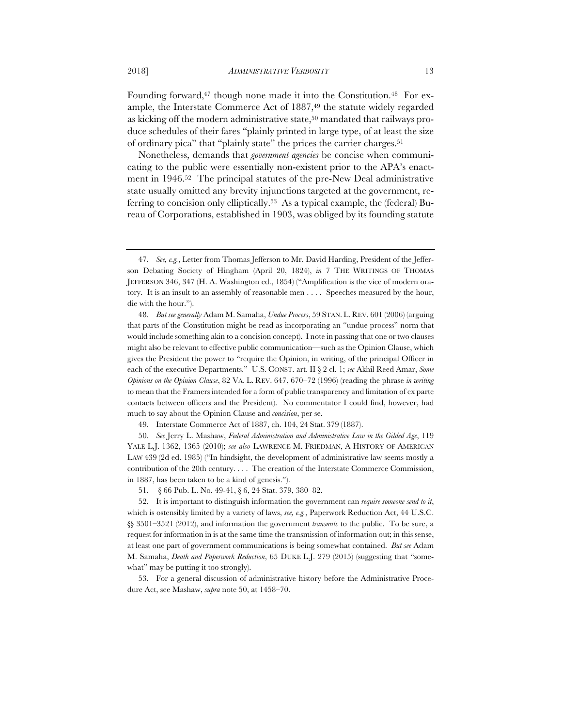Founding forward,<sup>47</sup> though none made it into the Constitution.<sup>48</sup> For example, the Interstate Commerce Act of 1887,<sup>49</sup> the statute widely regarded as kicking off the modern administrative state,50 mandated that railways produce schedules of their fares "plainly printed in large type, of at least the size of ordinary pica" that "plainly state" the prices the carrier charges.51

Nonetheless, demands that *government agencies* be concise when communicating to the public were essentially non-existent prior to the APA's enactment in 1946.52 The principal statutes of the pre-New Deal administrative state usually omitted any brevity injunctions targeted at the government, referring to concision only elliptically.53 As a typical example, the (federal) Bureau of Corporations, established in 1903, was obliged by its founding statute

50. *See* Jerry L. Mashaw, *Federal Administration and Administrative Law in the Gilded Age*, 119 YALE L.J. 1362, 1365 (2010); *see also* LAWRENCE M. FRIEDMAN, A HISTORY OF AMERICAN LAW 439 (2d ed. 1985) ("In hindsight, the development of administrative law seems mostly a contribution of the 20th century. . . . The creation of the Interstate Commerce Commission, in 1887, has been taken to be a kind of genesis.").

<sup>47.</sup> *See, e.g.*, Letter from Thomas Jefferson to Mr. David Harding, President of the Jefferson Debating Society of Hingham (April 20, 1824), *in* 7 THE WRITINGS OF THOMAS JEFFERSON 346, 347 (H. A. Washington ed., 1854) ("Amplification is the vice of modern oratory. It is an insult to an assembly of reasonable men . . . . Speeches measured by the hour, die with the hour.").

<sup>48.</sup> *But see generally* Adam M. Samaha, *Undue Process*, 59 STAN. L. REV. 601 (2006) (arguing that parts of the Constitution might be read as incorporating an "undue process" norm that would include something akin to a concision concept). I note in passing that one or two clauses might also be relevant to effective public communication—such as the Opinion Clause, which gives the President the power to "require the Opinion, in writing, of the principal Officer in each of the executive Departments." U.S. CONST. art. II § 2 cl. 1; *see* Akhil Reed Amar, *Some Opinions on the Opinion Clause*, 82 VA. L. REV. 647, 670–72 (1996) (reading the phrase *in writing* to mean that the Framers intended for a form of public transparency and limitation of ex parte contacts between officers and the President). No commentator I could find, however, had much to say about the Opinion Clause and *concision*, per se.

<sup>49.</sup> Interstate Commerce Act of 1887, ch. 104, 24 Stat. 379 (1887).

<sup>51.</sup> § 66 Pub. L. No. 49-41, § 6, 24 Stat. 379, 380–82.

<sup>52.</sup> It is important to distinguish information the government can *require someone send to it*, which is ostensibly limited by a variety of laws, *see, e.g.*, Paperwork Reduction Act, 44 U.S.C. §§ 3501–3521 (2012), and information the government *transmits* to the public. To be sure, a request for information in is at the same time the transmission of information out; in this sense, at least one part of government communications is being somewhat contained. *But see* Adam M. Samaha, *Death and Paperwork Reduction*, 65 DUKE L.J. 279 (2015) (suggesting that "somewhat" may be putting it too strongly).

<sup>53.</sup> For a general discussion of administrative history before the Administrative Procedure Act, see Mashaw, *supra* note 50, at 1458–70.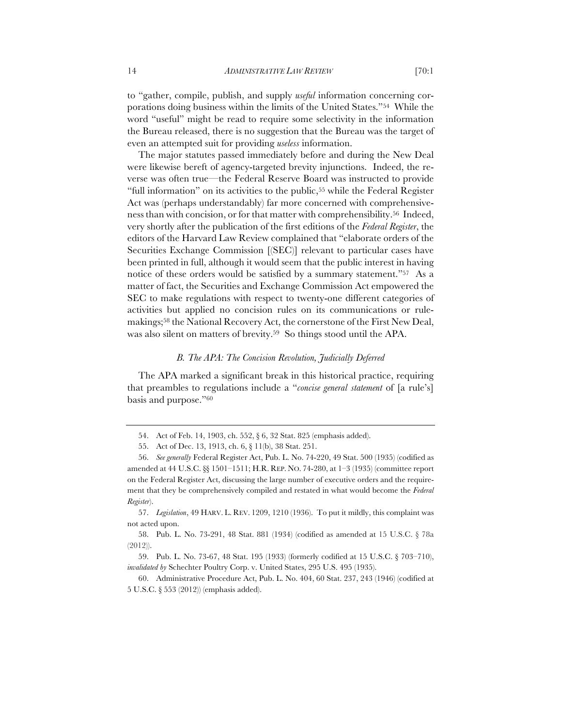to "gather, compile, publish, and supply *useful* information concerning corporations doing business within the limits of the United States."54 While the word "useful" might be read to require some selectivity in the information the Bureau released, there is no suggestion that the Bureau was the target of even an attempted suit for providing *useless* information.

The major statutes passed immediately before and during the New Deal were likewise bereft of agency-targeted brevity injunctions. Indeed, the reverse was often true—the Federal Reserve Board was instructed to provide "full information" on its activities to the public,<sup>55</sup> while the Federal Register Act was (perhaps understandably) far more concerned with comprehensiveness than with concision, or for that matter with comprehensibility.56 Indeed, very shortly after the publication of the first editions of the *Federal Register*, the editors of the Harvard Law Review complained that "elaborate orders of the Securities Exchange Commission [(SEC)] relevant to particular cases have been printed in full, although it would seem that the public interest in having notice of these orders would be satisfied by a summary statement."<sup>57</sup> As a matter of fact, the Securities and Exchange Commission Act empowered the SEC to make regulations with respect to twenty-one different categories of activities but applied no concision rules on its communications or rulemakings;58 the National Recovery Act, the cornerstone of the First New Deal, was also silent on matters of brevity.59 So things stood until the APA.

#### *B. The APA: The Concision Revolution, Judicially Deferred*

The APA marked a significant break in this historical practice, requiring that preambles to regulations include a "*concise general statement* of [a rule's] basis and purpose."60

58. Pub. L. No. 73-291, 48 Stat. 881 (1934) (codified as amended at 15 U.S.C. § 78a (2012)).

<sup>54.</sup> Act of Feb. 14, 1903, ch. 552, § 6, 32 Stat. 825 (emphasis added).

<sup>55.</sup> Act of Dec. 13, 1913, ch. 6, § 11(b), 38 Stat. 251.

<sup>56.</sup> *See generally* Federal Register Act, Pub. L. No. 74-220, 49 Stat. 500 (1935) (codified as amended at 44 U.S.C. §§ 1501–1511; H.R. REP. NO. 74-280, at 1–3 (1935) (committee report on the Federal Register Act, discussing the large number of executive orders and the requirement that they be comprehensively compiled and restated in what would become the *Federal Register*).

<sup>57.</sup> *Legislation*, 49 HARV. L. REV. 1209, 1210 (1936). To put it mildly, this complaint was not acted upon.

<sup>59.</sup> Pub. L. No. 73-67, 48 Stat. 195 (1933) (formerly codified at 15 U.S.C. § 703–710), *invalidated by* Schechter Poultry Corp. v. United States, 295 U.S. 495 (1935).

<sup>60.</sup> Administrative Procedure Act, Pub. L. No. 404, 60 Stat. 237, 243 (1946) (codified at 5 U.S.C. § 553 (2012)) (emphasis added).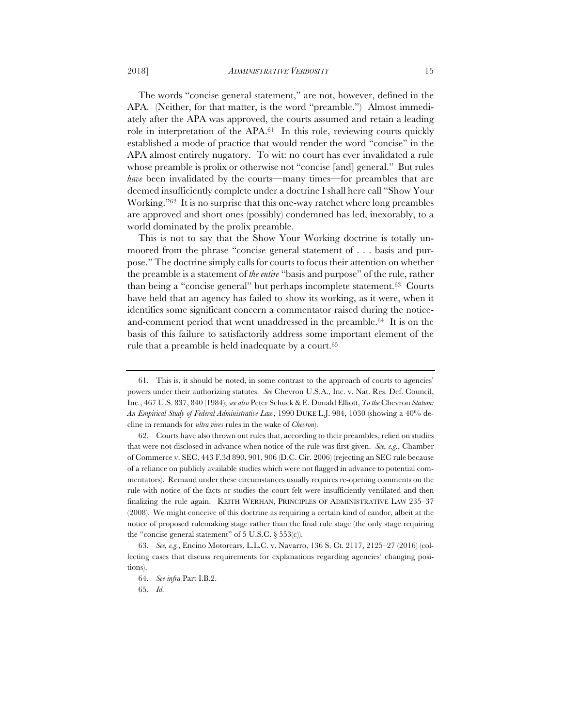The words "concise general statement," are not, however, defined in the APA. (Neither, for that matter, is the word "preamble.") Almost immediately after the APA was approved, the courts assumed and retain a leading role in interpretation of the APA.61 In this role, reviewing courts quickly established a mode of practice that would render the word "concise" in the APA almost entirely nugatory. To wit: no court has ever invalidated a rule whose preamble is prolix or otherwise not "concise [and] general." But rules *have* been invalidated by the courts—many times—for preambles that are deemed insufficiently complete under a doctrine I shall here call "Show Your Working."62 It is no surprise that this one-way ratchet where long preambles are approved and short ones (possibly) condemned has led, inexorably, to a world dominated by the prolix preamble.

This is not to say that the Show Your Working doctrine is totally unmoored from the phrase "concise general statement of . . . basis and purpose." The doctrine simply calls for courts to focus their attention on whether the preamble is a statement of *the entire* "basis and purpose" of the rule, rather than being a "concise general" but perhaps incomplete statement.63 Courts have held that an agency has failed to show its working, as it were, when it identifies some significant concern a commentator raised during the noticeand-comment period that went unaddressed in the preamble.64 It is on the basis of this failure to satisfactorily address some important element of the rule that a preamble is held inadequate by a court.65

<sup>61.</sup> This is, it should be noted, in some contrast to the approach of courts to agencies' powers under their authorizing statutes. *See* Chevron U.S.A., Inc. v. Nat. Res. Def. Council, Inc*.*, 467 U.S. 837, 840 (1984); *see also* Peter Schuck & E. Donald Elliott, *To the* Chevron *Station: An Empirical Study of Federal Administrative Law*, 1990 DUKE L.J. 984, 1030 (showing a 40% decline in remands for *ultra vires* rules in the wake of *Chevron*).

<sup>62.</sup> Courts have also thrown out rules that, according to their preambles, relied on studies that were not disclosed in advance when notice of the rule was first given. *See, e.g.*, Chamber of Commerce v. SEC, 443 F.3d 890, 901, 906 (D.C. Cir. 2006) (rejecting an SEC rule because of a reliance on publicly available studies which were not flagged in advance to potential commentators). Remand under these circumstances usually requires re-opening comments on the rule with notice of the facts or studies the court felt were insufficiently ventilated and then finalizing the rule again. KEITH WERHAN, PRINCIPLES OF ADMINISTRATIVE LAW 235–37 (2008). We might conceive of this doctrine as requiring a certain kind of candor, albeit at the notice of proposed rulemaking stage rather than the final rule stage (the only stage requiring the "concise general statement" of  $5$  U.S.C.  $\S$   $553(c)$ ).

<sup>63.</sup> *See, e.g.*, Encino Motorcars, L.L.C. v. Navarro, 136 S. Ct. 2117, 2125–27 (2016) (collecting cases that discuss requirements for explanations regarding agencies' changing positions).

<sup>64.</sup> *See infra* Part I.B.2.

<sup>65.</sup> *Id.*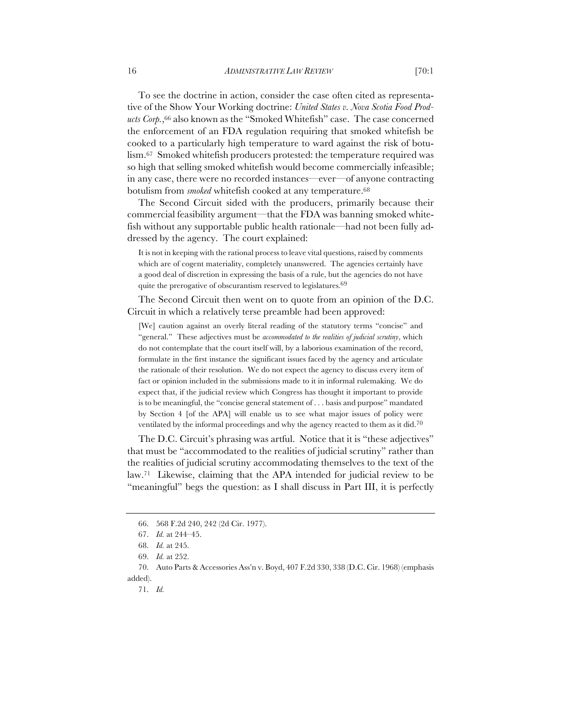To see the doctrine in action, consider the case often cited as representative of the Show Your Working doctrine: *United States v. Nova Scotia Food Prod*ucts Corp.,<sup>66</sup> also known as the "Smoked Whitefish" case. The case concerned the enforcement of an FDA regulation requiring that smoked whitefish be cooked to a particularly high temperature to ward against the risk of botulism.67 Smoked whitefish producers protested: the temperature required was so high that selling smoked whitefish would become commercially infeasible; in any case, there were no recorded instances—ever—of anyone contracting botulism from *smoked* whitefish cooked at any temperature.<sup>68</sup>

The Second Circuit sided with the producers, primarily because their commercial feasibility argument—that the FDA was banning smoked whitefish without any supportable public health rationale—had not been fully addressed by the agency. The court explained:

It is not in keeping with the rational process to leave vital questions, raised by comments which are of cogent materiality, completely unanswered. The agencies certainly have a good deal of discretion in expressing the basis of a rule, but the agencies do not have quite the prerogative of obscurantism reserved to legislatures.69

The Second Circuit then went on to quote from an opinion of the D.C. Circuit in which a relatively terse preamble had been approved:

[We] caution against an overly literal reading of the statutory terms "concise" and "general." These adjectives must be *accommodated to the realities of judicial scrutiny*, which do not contemplate that the court itself will, by a laborious examination of the record, formulate in the first instance the significant issues faced by the agency and articulate the rationale of their resolution. We do not expect the agency to discuss every item of fact or opinion included in the submissions made to it in informal rulemaking. We do expect that, if the judicial review which Congress has thought it important to provide is to be meaningful, the "concise general statement of . . . basis and purpose" mandated by Section 4 [of the APA] will enable us to see what major issues of policy were ventilated by the informal proceedings and why the agency reacted to them as it did.<sup>70</sup>

The D.C. Circuit's phrasing was artful. Notice that it is "these adjectives" that must be "accommodated to the realities of judicial scrutiny" rather than the realities of judicial scrutiny accommodating themselves to the text of the law.71 Likewise, claiming that the APA intended for judicial review to be "meaningful" begs the question: as I shall discuss in Part III, it is perfectly

<sup>66.</sup> 568 F.2d 240, 242 (2d Cir. 1977).

<sup>67.</sup> *Id.* at 244–45.

<sup>68.</sup> *Id.* at 245.

<sup>69.</sup> *Id.* at 252.

<sup>70.</sup> Auto Parts & Accessories Ass'n v. Boyd, 407 F.2d 330, 338 (D.C. Cir. 1968) (emphasis added).

<sup>71.</sup> *Id.*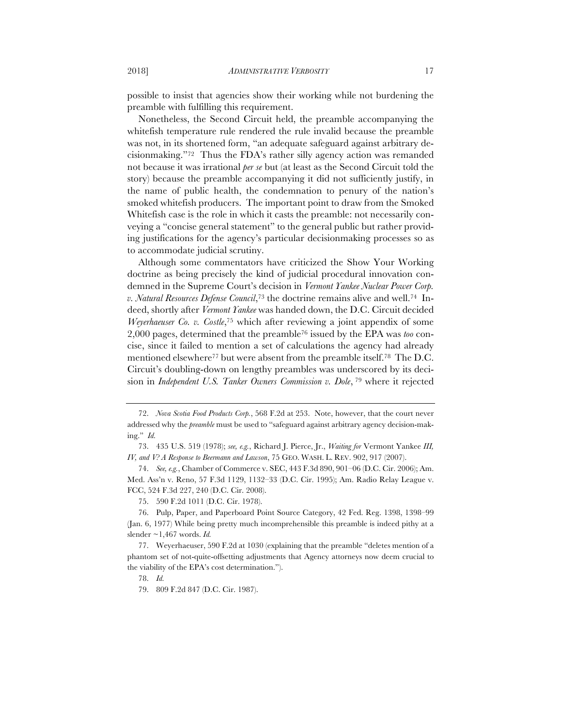possible to insist that agencies show their working while not burdening the preamble with fulfilling this requirement.

Nonetheless, the Second Circuit held, the preamble accompanying the whitefish temperature rule rendered the rule invalid because the preamble was not, in its shortened form, "an adequate safeguard against arbitrary decisionmaking."72 Thus the FDA's rather silly agency action was remanded not because it was irrational *per se* but (at least as the Second Circuit told the story) because the preamble accompanying it did not sufficiently justify, in the name of public health, the condemnation to penury of the nation's smoked whitefish producers. The important point to draw from the Smoked Whitefish case is the role in which it casts the preamble: not necessarily conveying a "concise general statement" to the general public but rather providing justifications for the agency's particular decisionmaking processes so as to accommodate judicial scrutiny.

Although some commentators have criticized the Show Your Working doctrine as being precisely the kind of judicial procedural innovation condemned in the Supreme Court's decision in *Vermont Yankee Nuclear Power Corp. v. Natural Resources Defense Council*,73 the doctrine remains alive and well.74 Indeed, shortly after *Vermont Yankee* was handed down, the D.C. Circuit decided *Weyerhaeuser Co. v. Costle*,75 which after reviewing a joint appendix of some 2,000 pages, determined that the preamble76 issued by the EPA was *too* concise, since it failed to mention a set of calculations the agency had already mentioned elsewhere77 but were absent from the preamble itself.78 The D.C. Circuit's doubling-down on lengthy preambles was underscored by its decision in *Independent U.S. Tanker Owners Commission v. Dole*, <sup>79</sup> where it rejected

<sup>72.</sup> *Nova Scotia Food Products Corp.*, 568 F.2d at 253. Note, however, that the court never addressed why the *preamble* must be used to "safeguard against arbitrary agency decision-making." *Id.*

<sup>73.</sup> 435 U.S. 519 (1978); *see, e.g.*, Richard J. Pierce, Jr., *Waiting for* Vermont Yankee *III, IV, and V? A Response to Beermann and Lawson*, 75 GEO. WASH. L. REV. 902, 917 (2007).

<sup>74.</sup> *See, e.g.*, Chamber of Commerce v. SEC, 443 F.3d 890, 901–06 (D.C. Cir. 2006); Am. Med. Ass'n v. Reno, 57 F.3d 1129, 1132–33 (D.C. Cir. 1995); Am. Radio Relay League v. FCC, 524 F.3d 227, 240 (D.C. Cir. 2008).

<sup>75.</sup> 590 F.2d 1011 (D.C. Cir. 1978).

<sup>76.</sup> Pulp, Paper, and Paperboard Point Source Category, 42 Fed. Reg. 1398, 1398–99 (Jan. 6, 1977) While being pretty much incomprehensible this preamble is indeed pithy at a slender ~1,467 words. *Id.*

<sup>77.</sup> Weyerhaeuser, 590 F.2d at 1030 (explaining that the preamble "deletes mention of a phantom set of not-quite-offsetting adjustments that Agency attorneys now deem crucial to the viability of the EPA's cost determination.").

<sup>78.</sup> *Id.*

<sup>79.</sup> 809 F.2d 847 (D.C. Cir. 1987).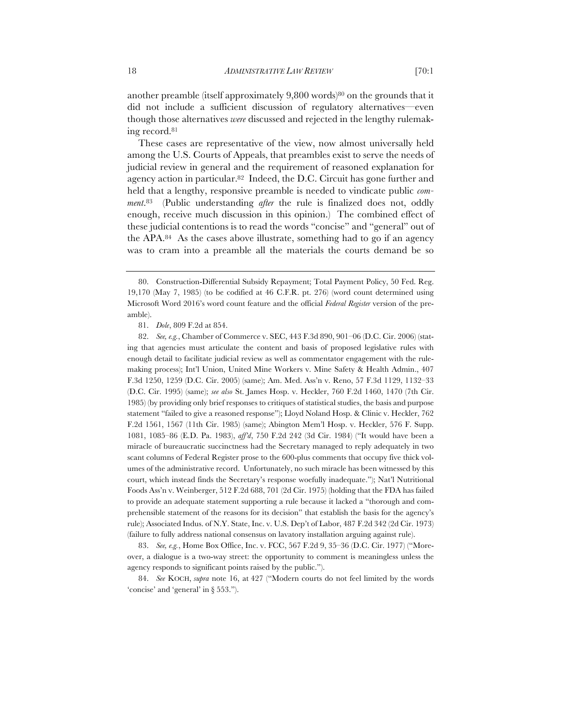another preamble (itself approximately 9,800 words)80 on the grounds that it did not include a sufficient discussion of regulatory alternatives—even though those alternatives *were* discussed and rejected in the lengthy rulemaking record.81

These cases are representative of the view, now almost universally held among the U.S. Courts of Appeals, that preambles exist to serve the needs of judicial review in general and the requirement of reasoned explanation for agency action in particular.82 Indeed, the D.C. Circuit has gone further and held that a lengthy, responsive preamble is needed to vindicate public *comment*.83 (Public understanding *after* the rule is finalized does not, oddly enough, receive much discussion in this opinion.) The combined effect of these judicial contentions is to read the words "concise" and "general" out of the APA.84 As the cases above illustrate, something had to go if an agency was to cram into a preamble all the materials the courts demand be so

82. *See, e.g.*, Chamber of Commerce v. SEC, 443 F.3d 890, 901–06 (D.C. Cir. 2006) (stating that agencies must articulate the content and basis of proposed legislative rules with enough detail to facilitate judicial review as well as commentator engagement with the rulemaking process); Int'l Union, United Mine Workers v. Mine Safety & Health Admin., 407 F.3d 1250, 1259 (D.C. Cir. 2005) (same); Am. Med. Ass'n v. Reno, 57 F.3d 1129, 1132–33 (D.C. Cir. 1995) (same); *see also* St. James Hosp. v. Heckler, 760 F.2d 1460, 1470 (7th Cir. 1985) (by providing only brief responses to critiques of statistical studies, the basis and purpose statement "failed to give a reasoned response"); Lloyd Noland Hosp. & Clinic v. Heckler, 762 F.2d 1561, 1567 (11th Cir. 1985) (same); Abington Mem'l Hosp. v. Heckler, 576 F. Supp. 1081, 1085–86 (E.D. Pa. 1983), *aff'd*, 750 F.2d 242 (3d Cir. 1984) ("It would have been a miracle of bureaucratic succinctness had the Secretary managed to reply adequately in two scant columns of Federal Register prose to the 600-plus comments that occupy five thick volumes of the administrative record. Unfortunately, no such miracle has been witnessed by this court, which instead finds the Secretary's response woefully inadequate."); Nat'l Nutritional Foods Ass'n v. Weinberger, 512 F.2d 688, 701 (2d Cir. 1975) (holding that the FDA has failed to provide an adequate statement supporting a rule because it lacked a "thorough and comprehensible statement of the reasons for its decision" that establish the basis for the agency's rule); Associated Indus. of N.Y. State, Inc. v. U.S. Dep't of Labor, 487 F.2d 342 (2d Cir. 1973) (failure to fully address national consensus on lavatory installation arguing against rule).

83. *See, e.g.*, Home Box Office, Inc. v. FCC, 567 F.2d 9, 35–36 (D.C. Cir. 1977) ("Moreover, a dialogue is a two-way street: the opportunity to comment is meaningless unless the agency responds to significant points raised by the public.").

84. *See* KOCH, *supra* note 16, at 427 ("Modern courts do not feel limited by the words 'concise' and 'general' in § 553.").

<sup>80.</sup> Construction-Differential Subsidy Repayment; Total Payment Policy, 50 Fed. Reg. 19,170 (May 7, 1985) (to be codified at 46 C.F.R. pt. 276) (word count determined using Microsoft Word 2016's word count feature and the official *Federal Register* version of the preamble).

<sup>81.</sup> *Dole*, 809 F.2d at 854.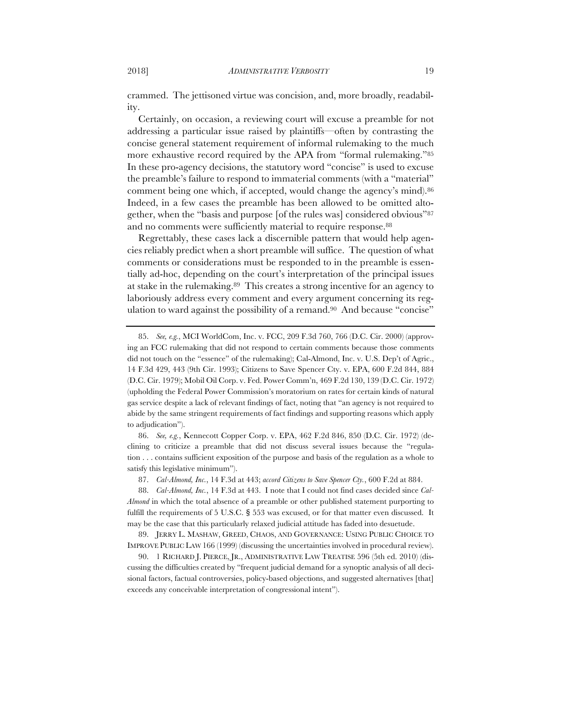crammed. The jettisoned virtue was concision, and, more broadly, readability.

Certainly, on occasion, a reviewing court will excuse a preamble for not addressing a particular issue raised by plaintiffs—often by contrasting the concise general statement requirement of informal rulemaking to the much more exhaustive record required by the APA from "formal rulemaking."85 In these pro-agency decisions, the statutory word "concise" is used to excuse the preamble's failure to respond to immaterial comments (with a "material" comment being one which, if accepted, would change the agency's mind).86 Indeed, in a few cases the preamble has been allowed to be omitted altogether, when the "basis and purpose [of the rules was] considered obvious"87 and no comments were sufficiently material to require response.<sup>88</sup>

Regrettably, these cases lack a discernible pattern that would help agencies reliably predict when a short preamble will suffice. The question of what comments or considerations must be responded to in the preamble is essentially ad-hoc, depending on the court's interpretation of the principal issues at stake in the rulemaking.89 This creates a strong incentive for an agency to laboriously address every comment and every argument concerning its regulation to ward against the possibility of a remand.<sup>90</sup> And because "concise"

86. *See, e.g.*, Kennecott Copper Corp. v. EPA, 462 F.2d 846, 850 (D.C. Cir. 1972) (declining to criticize a preamble that did not discuss several issues because the "regulation . . . contains sufficient exposition of the purpose and basis of the regulation as a whole to satisfy this legislative minimum").

87. *Cal-Almond, Inc.*, 14 F.3d at 443; *accord Citizens to Save Spencer Cty.*, 600 F.2d at 884.

88. *Cal-Almond, Inc.*, 14 F.3d at 443. I note that I could not find cases decided since *Cal-Almond* in which the total absence of a preamble or other published statement purporting to fulfill the requirements of 5 U.S.C. § 553 was excused, or for that matter even discussed. It may be the case that this particularly relaxed judicial attitude has faded into desuetude.

89. JERRY L. MASHAW, GREED, CHAOS, AND GOVERNANCE: USING PUBLIC CHOICE TO IMPROVE PUBLIC LAW 166 (1999) (discussing the uncertainties involved in procedural review).

90. 1 RICHARD J. PIERCE, JR., ADMINISTRATIVE LAW TREATISE 596 (5th ed. 2010) (discussing the difficulties created by "frequent judicial demand for a synoptic analysis of all decisional factors, factual controversies, policy-based objections, and suggested alternatives [that] exceeds any conceivable interpretation of congressional intent").

<sup>85.</sup> *See, e.g.*, MCI WorldCom, Inc. v. FCC, 209 F.3d 760, 766 (D.C. Cir. 2000) (approving an FCC rulemaking that did not respond to certain comments because those comments did not touch on the "essence" of the rulemaking); Cal-Almond, Inc. v. U.S. Dep't of Agric., 14 F.3d 429, 443 (9th Cir. 1993); Citizens to Save Spencer Cty. v. EPA, 600 F.2d 844, 884 (D.C. Cir. 1979); Mobil Oil Corp. v. Fed. Power Comm'n, 469 F.2d 130, 139 (D.C. Cir. 1972) (upholding the Federal Power Commission's moratorium on rates for certain kinds of natural gas service despite a lack of relevant findings of fact, noting that "an agency is not required to abide by the same stringent requirements of fact findings and supporting reasons which apply to adjudication").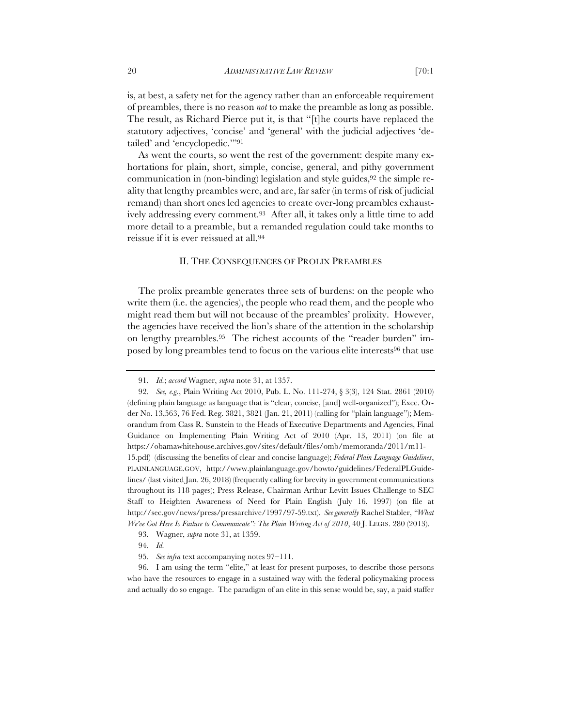is, at best, a safety net for the agency rather than an enforceable requirement of preambles, there is no reason *not* to make the preamble as long as possible. The result, as Richard Pierce put it, is that "[t]he courts have replaced the statutory adjectives, 'concise' and 'general' with the judicial adjectives 'detailed' and 'encyclopedic.'"91

As went the courts, so went the rest of the government: despite many exhortations for plain, short, simple, concise, general, and pithy government communication in (non-binding) legislation and style guides,  $92$  the simple reality that lengthy preambles were, and are, far safer (in terms of risk of judicial remand) than short ones led agencies to create over-long preambles exhaustively addressing every comment.93 After all, it takes only a little time to add more detail to a preamble, but a remanded regulation could take months to reissue if it is ever reissued at all.94

#### II. THE CONSEQUENCES OF PROLIX PREAMBLES

The prolix preamble generates three sets of burdens: on the people who write them (i.e. the agencies), the people who read them, and the people who might read them but will not because of the preambles' prolixity. However, the agencies have received the lion's share of the attention in the scholarship on lengthy preambles.95 The richest accounts of the "reader burden" imposed by long preambles tend to focus on the various elite interests<sup>96</sup> that use

- 93. Wagner, *supra* note 31, at 1359.
- 94. *Id.*
- 95. *See infra* text accompanying notes 97–111.

96. I am using the term "elite," at least for present purposes, to describe those persons who have the resources to engage in a sustained way with the federal policymaking process and actually do so engage. The paradigm of an elite in this sense would be, say, a paid staffer

<sup>91.</sup> *Id.*; *accord* Wagner, *supra* note 31, at 1357.

<sup>92.</sup> *See, e.g.*, Plain Writing Act 2010, Pub. L. No. 111-274, § 3(3), 124 Stat. 2861 (2010) (defining plain language as language that is "clear, concise, [and] well-organized"); Exec. Order No. 13,563, 76 Fed. Reg. 3821, 3821 (Jan. 21, 2011) (calling for "plain language"); Memorandum from Cass R. Sunstein to the Heads of Executive Departments and Agencies, Final Guidance on Implementing Plain Writing Act of 2010 (Apr. 13, 2011) (on file at https://obamawhitehouse.archives.gov/sites/default/files/omb/memoranda/2011/m11- 15.pdf) (discussing the benefits of clear and concise language); *Federal Plain Language Guidelines*, PLAINLANGUAGE.GOV, http://www.plainlanguage.gov/howto/guidelines/FederalPLGuidelines/ (last visited Jan. 26, 2018) (frequently calling for brevity in government communications throughout its 118 pages); Press Release, Chairman Arthur Levitt Issues Challenge to SEC Staff to Heighten Awareness of Need for Plain English (July 16, 1997) (on file at http://sec.gov/news/press/pressarchive/1997/97-59.txt). *See generally* Rachel Stabler, *"What We've Got Here Is Failure to Communicate": The Plain Writing Act of 2010*, 40 J. LEGIS. 280 (2013).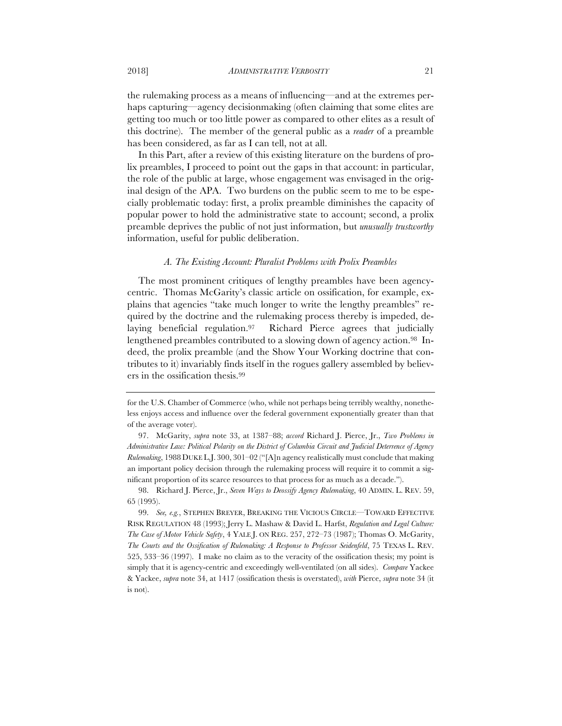the rulemaking process as a means of influencing—and at the extremes perhaps capturing—agency decisionmaking (often claiming that some elites are getting too much or too little power as compared to other elites as a result of this doctrine). The member of the general public as a *reader* of a preamble has been considered, as far as I can tell, not at all.

In this Part, after a review of this existing literature on the burdens of prolix preambles, I proceed to point out the gaps in that account: in particular, the role of the public at large, whose engagement was envisaged in the original design of the APA. Two burdens on the public seem to me to be especially problematic today: first, a prolix preamble diminishes the capacity of popular power to hold the administrative state to account; second, a prolix preamble deprives the public of not just information, but *unusually trustworthy*  information, useful for public deliberation.

## *A. The Existing Account: Pluralist Problems with Prolix Preambles*

The most prominent critiques of lengthy preambles have been agencycentric. Thomas McGarity's classic article on ossification, for example, explains that agencies "take much longer to write the lengthy preambles" required by the doctrine and the rulemaking process thereby is impeded, delaying beneficial regulation.97 Richard Pierce agrees that judicially lengthened preambles contributed to a slowing down of agency action.<sup>98</sup> Indeed, the prolix preamble (and the Show Your Working doctrine that contributes to it) invariably finds itself in the rogues gallery assembled by believers in the ossification thesis.99

for the U.S. Chamber of Commerce (who, while not perhaps being terribly wealthy, nonetheless enjoys access and influence over the federal government exponentially greater than that of the average voter).

<sup>97.</sup> McGarity, *supra* note 33, at 1387–88; *accord* Richard J. Pierce, Jr., *Two Problems in Administrative Law: Political Polarity on the District of Columbia Circuit and Judicial Deterrence of Agency Rulemaking*, 1988 DUKE L.J. 300, 301–02 ("[A]n agency realistically must conclude that making an important policy decision through the rulemaking process will require it to commit a significant proportion of its scarce resources to that process for as much as a decade.").

<sup>98.</sup> Richard J. Pierce, Jr., *Seven Ways to Deossify Agency Rulemaking*, 40 ADMIN. L. REV. 59, 65 (1995).

<sup>99.</sup> *See, e.g.*, STEPHEN BREYER, BREAKING THE VICIOUS CIRCLE—TOWARD EFFECTIVE RISK REGULATION 48 (1993); Jerry L. Mashaw & David L. Harfst, *Regulation and Legal Culture: The Case of Motor Vehicle Safety*, 4 YALE J. ON REG. 257, 272–73 (1987); Thomas O. McGarity, *The Courts and the Ossification of Rulemaking: A Response to Professor Seidenfeld*, 75 TEXAS L. REV. 525, 533–36 (1997). I make no claim as to the veracity of the ossification thesis; my point is simply that it is agency-centric and exceedingly well-ventilated (on all sides). *Compare* Yackee & Yackee, *supra* note 34, at 1417 (ossification thesis is overstated), *with* Pierce, *supra* note 34 (it is not).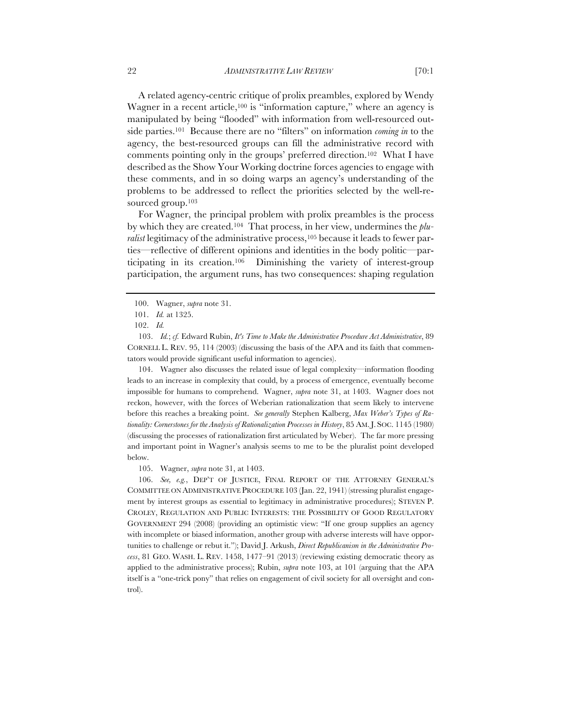A related agency-centric critique of prolix preambles, explored by Wendy Wagner in a recent article,<sup>100</sup> is "information capture," where an agency is manipulated by being "flooded" with information from well-resourced outside parties.101 Because there are no "filters" on information *coming in* to the agency, the best-resourced groups can fill the administrative record with comments pointing only in the groups' preferred direction.102 What I have described as the Show Your Working doctrine forces agencies to engage with these comments, and in so doing warps an agency's understanding of the problems to be addressed to reflect the priorities selected by the well-resourced group.<sup>103</sup>

For Wagner, the principal problem with prolix preambles is the process by which they are created.104 That process, in her view, undermines the *plu*ralist legitimacy of the administrative process,<sup>105</sup> because it leads to fewer parties—reflective of different opinions and identities in the body politic—participating in its creation.106 Diminishing the variety of interest-group participation, the argument runs, has two consequences: shaping regulation

104. Wagner also discusses the related issue of legal complexity—information flooding leads to an increase in complexity that could, by a process of emergence, eventually become impossible for humans to comprehend.Wagner, *supra* note 31, at 1403. Wagner does not reckon, however, with the forces of Weberian rationalization that seem likely to intervene before this reaches a breaking point. *See generally* Stephen Kalberg, *Max Weber's Types of Rationality: Cornerstones for the Analysis of Rationalization Processes in History*, 85 AM.J. SOC. 1145 (1980) (discussing the processes of rationalization first articulated by Weber). The far more pressing and important point in Wagner's analysis seems to me to be the pluralist point developed below.

105. Wagner, *supra* note 31, at 1403.

106. *See, e.g.*, DEP'T OF JUSTICE, FINAL REPORT OF THE ATTORNEY GENERAL'S COMMITTEE ON ADMINISTRATIVE PROCEDURE 103 (Jan. 22, 1941) (stressing pluralist engagement by interest groups as essential to legitimacy in administrative procedures); STEVEN P. CROLEY, REGULATION AND PUBLIC INTERESTS: THE POSSIBILITY OF GOOD REGULATORY GOVERNMENT 294 (2008) (providing an optimistic view: "If one group supplies an agency with incomplete or biased information, another group with adverse interests will have opportunities to challenge or rebut it."); David J. Arkush, *Direct Republicanism in the Administrative Process*, 81 GEO. WASH. L. REV. 1458, 1477–91 (2013) (reviewing existing democratic theory as applied to the administrative process); Rubin, *supra* note 103, at 101 (arguing that the APA itself is a "one-trick pony" that relies on engagement of civil society for all oversight and control).

<sup>100.</sup> Wagner, *supra* note 31.

<sup>101.</sup> *Id.* at 1325.

<sup>102.</sup> *Id.*

<sup>103.</sup> *Id.*; *cf.* Edward Rubin, *It's Time to Make the Administrative Procedure Act Administrative*, 89 CORNELL L. REV. 95, 114 (2003) (discussing the basis of the APA and its faith that commentators would provide significant useful information to agencies).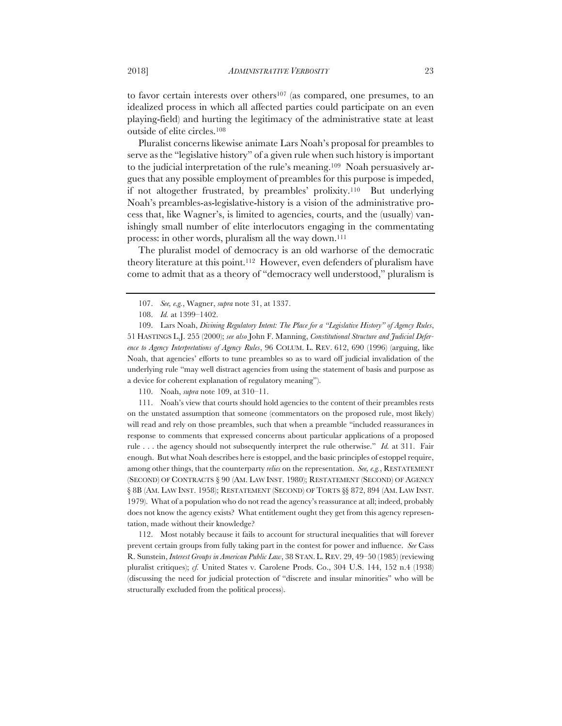to favor certain interests over others<sup>107</sup> (as compared, one presumes, to an idealized process in which all affected parties could participate on an even playing-field) and hurting the legitimacy of the administrative state at least outside of elite circles.108

Pluralist concerns likewise animate Lars Noah's proposal for preambles to serve as the "legislative history" of a given rule when such history is important to the judicial interpretation of the rule's meaning.109 Noah persuasively argues that any possible employment of preambles for this purpose is impeded, if not altogether frustrated, by preambles' prolixity.110 But underlying Noah's preambles-as-legislative-history is a vision of the administrative process that, like Wagner's, is limited to agencies, courts, and the (usually) vanishingly small number of elite interlocutors engaging in the commentating process: in other words, pluralism all the way down.111

The pluralist model of democracy is an old warhorse of the democratic theory literature at this point.112 However, even defenders of pluralism have come to admit that as a theory of "democracy well understood," pluralism is

110. Noah, *supra* note 109, at 310–11.

111. Noah's view that courts should hold agencies to the content of their preambles rests on the unstated assumption that someone (commentators on the proposed rule, most likely) will read and rely on those preambles, such that when a preamble "included reassurances in response to comments that expressed concerns about particular applications of a proposed rule . . . the agency should not subsequently interpret the rule otherwise." *Id.* at 311. Fair enough. But what Noah describes here is estoppel, and the basic principles of estoppel require, among other things, that the counterparty *relies* on the representation. *See, e.g.*, RESTATEMENT (SECOND) OF CONTRACTS § 90 (AM. LAW INST. 1980); RESTATEMENT (SECOND) OF AGENCY § 8B (AM. LAW INST. 1958); RESTATEMENT (SECOND) OF TORTS §§ 872, 894 (AM. LAW INST. 1979). What of a population who do not read the agency's reassurance at all; indeed, probably does not know the agency exists? What entitlement ought they get from this agency representation, made without their knowledge?

112. Most notably because it fails to account for structural inequalities that will forever prevent certain groups from fully taking part in the contest for power and influence. *See* Cass R. Sunstein, *Interest Groups in American Public Law*, 38 STAN. L. REV. 29, 49–50 (1985) (reviewing pluralist critiques); *cf.* United States v. Carolene Prods. Co., 304 U.S. 144, 152 n.4 (1938) (discussing the need for judicial protection of "discrete and insular minorities" who will be structurally excluded from the political process).

<sup>107.</sup> *See, e.g.*, Wagner, *supra* note 31, at 1337.

<sup>108.</sup> *Id.* at 1399–1402.

<sup>109.</sup> Lars Noah, *Divining Regulatory Intent: The Place for a "Legislative History" of Agency Rules*, 51 HASTINGS L.J. 255 (2000); *see also* John F. Manning, *Constitutional Structure and Judicial Deference to Agency Interpretations of Agency Rules*, 96 COLUM. L. REV. 612, 690 (1996) (arguing, like Noah, that agencies' efforts to tune preambles so as to ward off judicial invalidation of the underlying rule "may well distract agencies from using the statement of basis and purpose as a device for coherent explanation of regulatory meaning").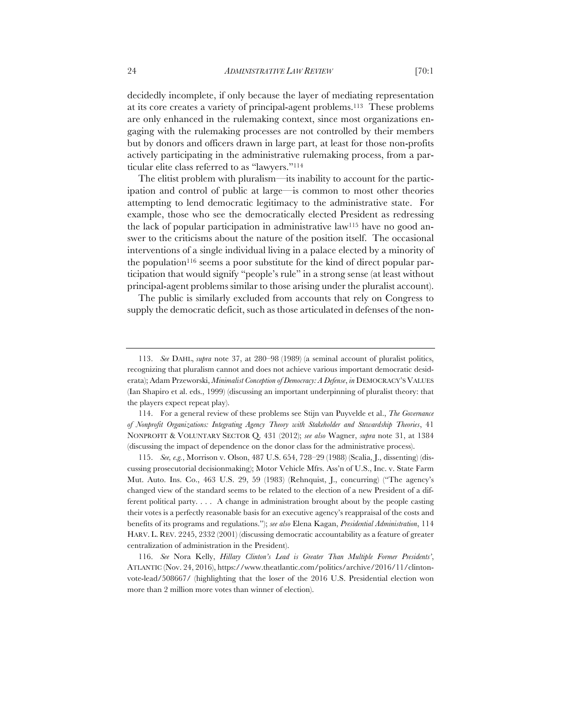decidedly incomplete, if only because the layer of mediating representation at its core creates a variety of principal-agent problems.113 These problems are only enhanced in the rulemaking context, since most organizations engaging with the rulemaking processes are not controlled by their members but by donors and officers drawn in large part, at least for those non-profits actively participating in the administrative rulemaking process, from a particular elite class referred to as "lawyers."114

The elitist problem with pluralism—its inability to account for the participation and control of public at large—is common to most other theories attempting to lend democratic legitimacy to the administrative state. For example, those who see the democratically elected President as redressing the lack of popular participation in administrative law115 have no good answer to the criticisms about the nature of the position itself. The occasional interventions of a single individual living in a palace elected by a minority of the population<sup>116</sup> seems a poor substitute for the kind of direct popular participation that would signify "people's rule" in a strong sense (at least without principal-agent problems similar to those arising under the pluralist account).

The public is similarly excluded from accounts that rely on Congress to supply the democratic deficit, such as those articulated in defenses of the non-

<sup>113.</sup> *See* DAHL, *supra* note 37, at 280–98 (1989) (a seminal account of pluralist politics, recognizing that pluralism cannot and does not achieve various important democratic desiderata); Adam Przeworski, *Minimalist Conception of Democracy: A Defense*, *in* DEMOCRACY'S VALUES (Ian Shapiro et al. eds., 1999) (discussing an important underpinning of pluralist theory: that the players expect repeat play).

<sup>114.</sup> For a general review of these problems see Stijn van Puyvelde et al., *The Governance of Nonprofit Organizations: Integrating Agency Theory with Stakeholder and Stewardship Theories*, 41 NONPROFIT & VOLUNTARY SECTOR Q. 431 (2012); *see also* Wagner, *supra* note 31, at 1384 (discussing the impact of dependence on the donor class for the administrative process).

<sup>115.</sup> *See, e.g.*, Morrison v. Olson, 487 U.S. 654, 728–29 (1988) (Scalia, J., dissenting) (discussing prosecutorial decisionmaking); Motor Vehicle Mfrs. Ass'n of U.S., Inc. v. State Farm Mut. Auto. Ins. Co., 463 U.S. 29, 59 (1983) (Rehnquist, J., concurring) ("The agency's changed view of the standard seems to be related to the election of a new President of a different political party. . . . A change in administration brought about by the people casting their votes is a perfectly reasonable basis for an executive agency's reappraisal of the costs and benefits of its programs and regulations."); *see also* Elena Kagan, *Presidential Administration*, 114 HARV. L. REV. 2245, 2332 (2001) (discussing democratic accountability as a feature of greater centralization of administration in the President).

<sup>116.</sup> *See* Nora Kelly, *Hillary Clinton's Lead is Greater Than Multiple Former Presidents'*, ATLANTIC (Nov. 24, 2016), https://www.theatlantic.com/politics/archive/2016/11/clintonvote-lead/508667/ (highlighting that the loser of the 2016 U.S. Presidential election won more than 2 million more votes than winner of election).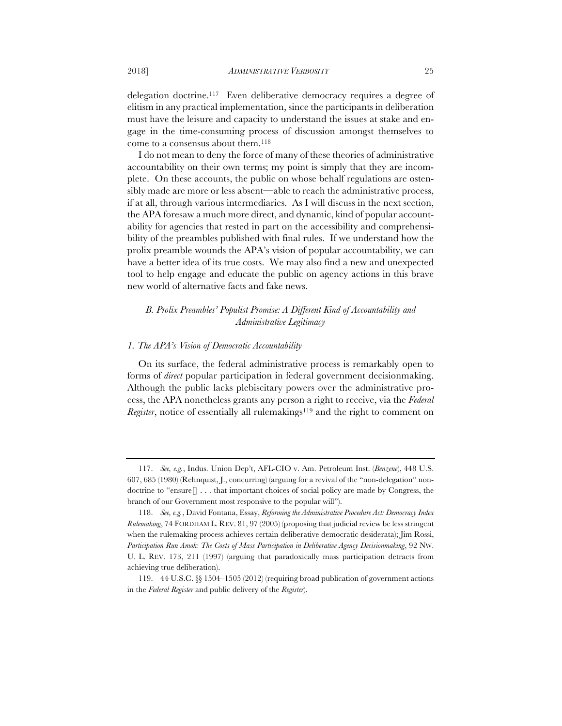delegation doctrine.117 Even deliberative democracy requires a degree of elitism in any practical implementation, since the participants in deliberation must have the leisure and capacity to understand the issues at stake and engage in the time-consuming process of discussion amongst themselves to come to a consensus about them.118

I do not mean to deny the force of many of these theories of administrative accountability on their own terms; my point is simply that they are incomplete. On these accounts, the public on whose behalf regulations are ostensibly made are more or less absent—able to reach the administrative process, if at all, through various intermediaries. As I will discuss in the next section, the APA foresaw a much more direct, and dynamic, kind of popular accountability for agencies that rested in part on the accessibility and comprehensibility of the preambles published with final rules. If we understand how the prolix preamble wounds the APA's vision of popular accountability, we can have a better idea of its true costs. We may also find a new and unexpected tool to help engage and educate the public on agency actions in this brave new world of alternative facts and fake news.

# *B. Prolix Preambles' Populist Promise: A Different Kind of Accountability and Administrative Legitimacy*

#### *1. The APA's Vision of Democratic Accountability*

On its surface, the federal administrative process is remarkably open to forms of *direct* popular participation in federal government decisionmaking. Although the public lacks plebiscitary powers over the administrative process, the APA nonetheless grants any person a right to receive, via the *Federal Register*, notice of essentially all rulemakings<sup>119</sup> and the right to comment on

<sup>117.</sup> *See, e.g.*, Indus. Union Dep't, AFL-CIO v. Am. Petroleum Inst. (*Benzene*), 448 U.S. 607, 685 (1980) (Rehnquist, J., concurring) (arguing for a revival of the "non-delegation" nondoctrine to "ensure[] . . . that important choices of social policy are made by Congress, the branch of our Government most responsive to the popular will").

<sup>118.</sup> *See, e.g.*, David Fontana, Essay, *Reforming the Administrative Procedure Act: Democracy Index Rulemaking*, 74 FORDHAM L. REV. 81, 97 (2005) (proposing that judicial review be less stringent when the rulemaking process achieves certain deliberative democratic desiderata); Jim Rossi, *Participation Run Amok: The Costs of Mass Participation in Deliberative Agency Decisionmaking*, 92 NW. U. L. REV. 173, 211 (1997) (arguing that paradoxically mass participation detracts from achieving true deliberation).

<sup>119.</sup> 44 U.S.C. §§ 1504–1505 (2012) (requiring broad publication of government actions in the *Federal Register* and public delivery of the *Register*).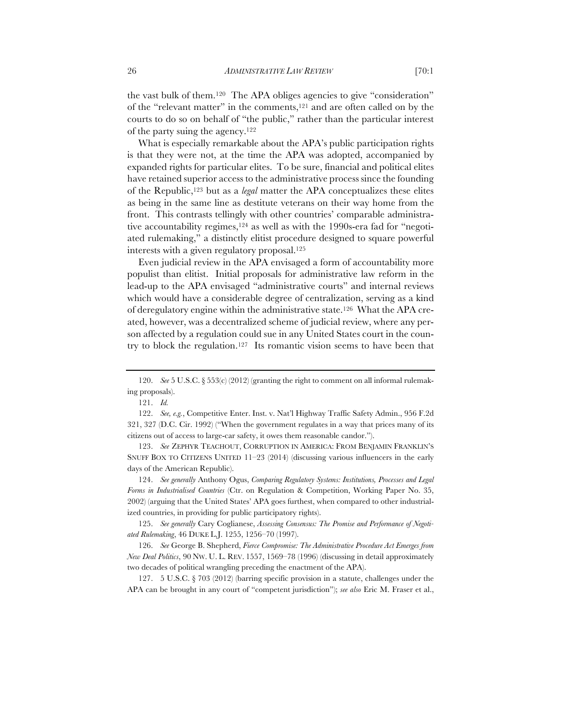the vast bulk of them.120 The APA obliges agencies to give "consideration" of the "relevant matter" in the comments,121 and are often called on by the courts to do so on behalf of "the public," rather than the particular interest of the party suing the agency.122

What is especially remarkable about the APA's public participation rights is that they were not, at the time the APA was adopted, accompanied by expanded rights for particular elites. To be sure, financial and political elites have retained superior access to the administrative process since the founding of the Republic,123 but as a *legal* matter the APA conceptualizes these elites as being in the same line as destitute veterans on their way home from the front. This contrasts tellingly with other countries' comparable administrative accountability regimes,124 as well as with the 1990s-era fad for "negotiated rulemaking," a distinctly elitist procedure designed to square powerful interests with a given regulatory proposal.125

Even judicial review in the APA envisaged a form of accountability more populist than elitist. Initial proposals for administrative law reform in the lead-up to the APA envisaged "administrative courts" and internal reviews which would have a considerable degree of centralization, serving as a kind of deregulatory engine within the administrative state.126 What the APA created, however, was a decentralized scheme of judicial review, where any person affected by a regulation could sue in any United States court in the country to block the regulation.<sup>127</sup> Its romantic vision seems to have been that

122. *See, e.g.*, Competitive Enter. Inst. v. Nat'l Highway Traffic Safety Admin., 956 F.2d 321, 327 (D.C. Cir. 1992) ("When the government regulates in a way that prices many of its citizens out of access to large-car safety, it owes them reasonable candor.").

123. *See* ZEPHYR TEACHOUT, CORRUPTION IN AMERICA: FROM BENJAMIN FRANKLIN'S SNUFF BOX TO CITIZENS UNITED 11–23 (2014) (discussing various influencers in the early days of the American Republic).

124. *See generally* Anthony Ogus, *Comparing Regulatory Systems: Institutions, Processes and Legal Forms in Industrialised Countries* (Ctr. on Regulation & Competition, Working Paper No. 35, 2002) (arguing that the United States' APA goes furthest, when compared to other industrialized countries, in providing for public participatory rights).

125. *See generally* Cary Coglianese, *Assessing Consensus: The Promise and Performance of Negotiated Rulemaking*, 46 DUKE L.J. 1255, 1256–70 (1997).

126. *See* George B. Shepherd, *Fierce Compromise: The Administrative Procedure Act Emerges from New Deal Politics*, 90 NW. U. L. REV. 1557, 1569–78 (1996) (discussing in detail approximately two decades of political wrangling preceding the enactment of the APA).

127. 5 U.S.C. § 703 (2012) (barring specific provision in a statute, challenges under the APA can be brought in any court of "competent jurisdiction"); *see also* Eric M. Fraser et al.,

<sup>120.</sup> *See* 5 U.S.C. § 553(c) (2012) (granting the right to comment on all informal rulemaking proposals).

<sup>121.</sup> *Id.*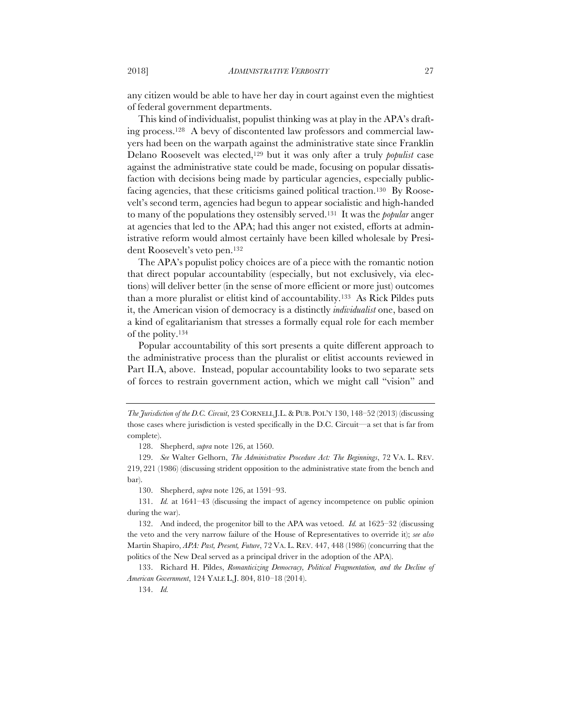any citizen would be able to have her day in court against even the mightiest of federal government departments.

This kind of individualist, populist thinking was at play in the APA's drafting process.128 A bevy of discontented law professors and commercial lawyers had been on the warpath against the administrative state since Franklin Delano Roosevelt was elected,129 but it was only after a truly *populist* case against the administrative state could be made, focusing on popular dissatisfaction with decisions being made by particular agencies, especially publicfacing agencies, that these criticisms gained political traction.130 By Roosevelt's second term, agencies had begun to appear socialistic and high-handed to many of the populations they ostensibly served.131 It was the *popular* anger at agencies that led to the APA; had this anger not existed, efforts at administrative reform would almost certainly have been killed wholesale by President Roosevelt's veto pen.132

The APA's populist policy choices are of a piece with the romantic notion that direct popular accountability (especially, but not exclusively, via elections) will deliver better (in the sense of more efficient or more just) outcomes than a more pluralist or elitist kind of accountability.133 As Rick Pildes puts it, the American vision of democracy is a distinctly *individualist* one, based on a kind of egalitarianism that stresses a formally equal role for each member of the polity.134

Popular accountability of this sort presents a quite different approach to the administrative process than the pluralist or elitist accounts reviewed in Part II.A, above. Instead, popular accountability looks to two separate sets of forces to restrain government action, which we might call "vision" and

*The Jurisdiction of the D.C. Circuit*, 23 CORNELL J.L.&PUB. POL'Y 130, 148–52 (2013) (discussing those cases where jurisdiction is vested specifically in the D.C. Circuit—a set that is far from complete).

<sup>128.</sup> Shepherd, *supra* note 126, at 1560.

<sup>129.</sup> *See* Walter Gelhorn, *The Administrative Procedure Act: The Beginnings*, 72 VA. L. REV. 219, 221 (1986) (discussing strident opposition to the administrative state from the bench and bar).

<sup>130.</sup> Shepherd, *supra* note 126, at 1591–93.

<sup>131.</sup> *Id.* at 1641–43 (discussing the impact of agency incompetence on public opinion during the war).

<sup>132.</sup> And indeed, the progenitor bill to the APA was vetoed. *Id.* at 1625–32 (discussing the veto and the very narrow failure of the House of Representatives to override it); *see also*  Martin Shapiro, *APA: Past, Present, Future*, 72 VA. L. REV. 447, 448 (1986) (concurring that the politics of the New Deal served as a principal driver in the adoption of the APA).

<sup>133.</sup> Richard H. Pildes, *Romanticizing Democracy, Political Fragmentation, and the Decline of American Government*, 124 YALE L.J. 804, 810–18 (2014).

<sup>134.</sup> *Id.*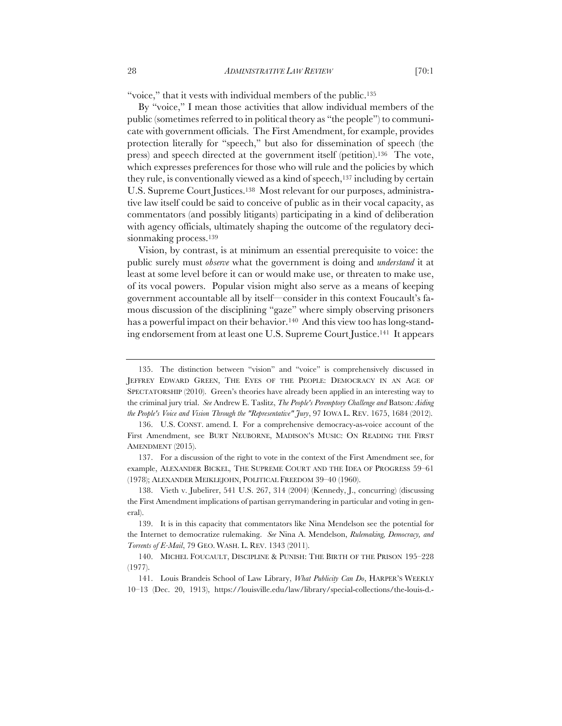"voice," that it vests with individual members of the public.<sup>135</sup>

By "voice," I mean those activities that allow individual members of the public (sometimes referred to in political theory as "the people") to communicate with government officials. The First Amendment, for example, provides protection literally for "speech," but also for dissemination of speech (the press) and speech directed at the government itself (petition).136 The vote, which expresses preferences for those who will rule and the policies by which they rule, is conventionally viewed as a kind of speech,<sup>137</sup> including by certain U.S. Supreme Court Justices.138 Most relevant for our purposes, administrative law itself could be said to conceive of public as in their vocal capacity, as commentators (and possibly litigants) participating in a kind of deliberation with agency officials, ultimately shaping the outcome of the regulatory decisionmaking process.139

Vision, by contrast, is at minimum an essential prerequisite to voice: the public surely must *observe* what the government is doing and *understand* it at least at some level before it can or would make use, or threaten to make use, of its vocal powers. Popular vision might also serve as a means of keeping government accountable all by itself—consider in this context Foucault's famous discussion of the disciplining "gaze" where simply observing prisoners has a powerful impact on their behavior.<sup>140</sup> And this view too has long-standing endorsement from at least one U.S. Supreme Court Justice.141 It appears

<sup>135.</sup> The distinction between "vision" and "voice" is comprehensively discussed in JEFFREY EDWARD GREEN, THE EYES OF THE PEOPLE: DEMOCRACY IN AN AGE OF SPECTATORSHIP (2010). Green's theories have already been applied in an interesting way to the criminal jury trial. *See* Andrew E. Taslitz, *The People's Peremptory Challenge and* Batson*: Aiding the People's Voice and Vision Through the "Representative" Jury*, 97 IOWA L. REV. 1675, 1684 (2012).

<sup>136.</sup> U.S. CONST. amend. I. For a comprehensive democracy-as-voice account of the First Amendment, see BURT NEUBORNE, MADISON'S MUSIC: ON READING THE FIRST AMENDMENT (2015).

<sup>137.</sup> For a discussion of the right to vote in the context of the First Amendment see, for example, ALEXANDER BICKEL, THE SUPREME COURT AND THE IDEA OF PROGRESS 59–61 (1978); ALEXANDER MEIKLEJOHN, POLITICAL FREEDOM 39–40 (1960).

<sup>138.</sup> Vieth v. Jubelirer, 541 U.S. 267, 314 (2004) (Kennedy, J., concurring) (discussing the First Amendment implications of partisan gerrymandering in particular and voting in general).

<sup>139.</sup> It is in this capacity that commentators like Nina Mendelson see the potential for the Internet to democratize rulemaking. *See* Nina A. Mendelson, *Rulemaking, Democracy, and Torrents of E-Mail*, 79 GEO. WASH. L. REV. 1343 (2011).

<sup>140.</sup> MICHEL FOUCAULT, DISCIPLINE & PUNISH: THE BIRTH OF THE PRISON 195–228 (1977).

<sup>141.</sup> Louis Brandeis School of Law Library, *What Publicity Can Do*, HARPER'S WEEKLY 10–13 (Dec. 20, 1913), https://louisville.edu/law/library/special-collections/the-louis-d.-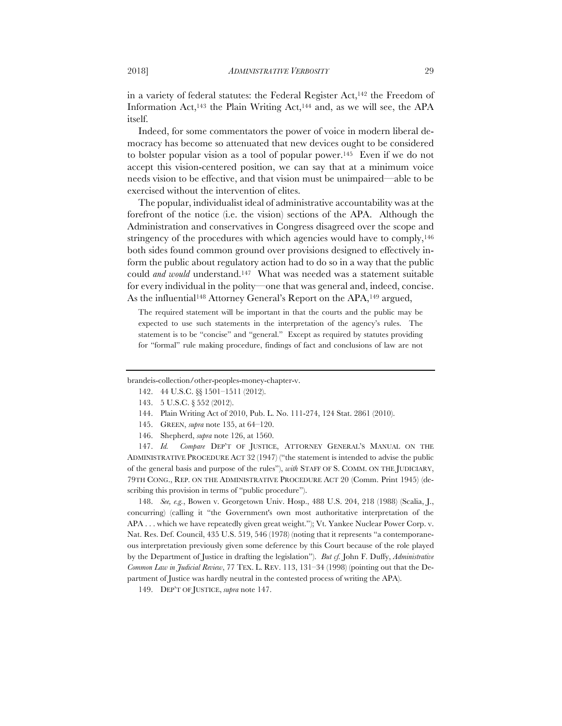in a variety of federal statutes: the Federal Register Act,<sup>142</sup> the Freedom of Information Act,143 the Plain Writing Act,144 and, as we will see, the APA itself.

Indeed, for some commentators the power of voice in modern liberal democracy has become so attenuated that new devices ought to be considered to bolster popular vision as a tool of popular power.145 Even if we do not accept this vision-centered position, we can say that at a minimum voice needs vision to be effective, and that vision must be unimpaired—able to be exercised without the intervention of elites.

The popular, individualist ideal of administrative accountability was at the forefront of the notice (i.e. the vision) sections of the APA. Although the Administration and conservatives in Congress disagreed over the scope and stringency of the procedures with which agencies would have to comply,  $146$ both sides found common ground over provisions designed to effectively inform the public about regulatory action had to do so in a way that the public could *and would* understand.147 What was needed was a statement suitable for every individual in the polity—one that was general and, indeed, concise. As the influential<sup>148</sup> Attorney General's Report on the APA,<sup>149</sup> argued,

The required statement will be important in that the courts and the public may be expected to use such statements in the interpretation of the agency's rules. The statement is to be "concise" and "general." Except as required by statutes providing for "formal" rule making procedure, findings of fact and conclusions of law are not

brandeis-collection/other-peoples-money-chapter-v.

- 143. 5 U.S.C. § 552 (2012).
- 144. Plain Writing Act of 2010, Pub. L. No. 111-274, 124 Stat. 2861 (2010).
- 145. GREEN, *supra* note 135, at 64–120.
- 146. Shepherd, *supra* note 126, at 1560.

147. *Id. Compare* DEP'T OF JUSTICE, ATTORNEY GENERAL'S MANUAL ON THE ADMINISTRATIVE PROCEDURE ACT 32 (1947) ("the statement is intended to advise the public of the general basis and purpose of the rules"), *with* STAFF OF S. COMM. ON THE JUDICIARY, 79TH CONG., REP. ON THE ADMINISTRATIVE PROCEDURE ACT 20 (Comm. Print 1945) (describing this provision in terms of "public procedure").

148. *See, e.g.*, Bowen v. Georgetown Univ. Hosp., 488 U.S. 204, 218 (1988) (Scalia, J., concurring) (calling it "the Government's own most authoritative interpretation of the APA . . . which we have repeatedly given great weight."); Vt. Yankee Nuclear Power Corp. v. Nat. Res. Def. Council, 435 U.S. 519, 546 (1978) (noting that it represents "a contemporaneous interpretation previously given some deference by this Court because of the role played by the Department of Justice in drafting the legislation"). *But cf.* John F. Duffy, *Administrative Common Law in Judicial Review*, 77 TEX. L. REV. 113, 131–34 (1998) (pointing out that the Department of Justice was hardly neutral in the contested process of writing the APA).

149. DEP'T OF JUSTICE, *supra* note 147.

<sup>142.</sup> 44 U.S.C. §§ 1501–1511 (2012).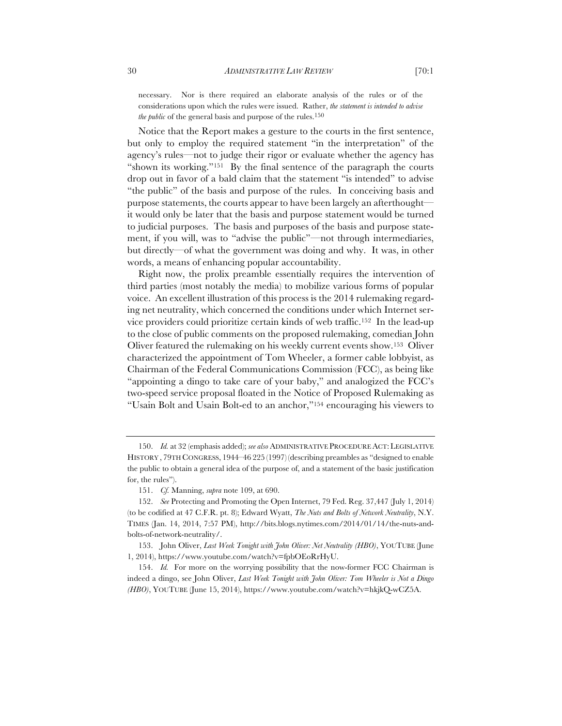necessary. Nor is there required an elaborate analysis of the rules or of the considerations upon which the rules were issued. Rather, *the statement is intended to advise the public* of the general basis and purpose of the rules.<sup>150</sup>

Notice that the Report makes a gesture to the courts in the first sentence, but only to employ the required statement "in the interpretation" of the agency's rules—not to judge their rigor or evaluate whether the agency has "shown its working."151 By the final sentence of the paragraph the courts drop out in favor of a bald claim that the statement "is intended" to advise "the public" of the basis and purpose of the rules. In conceiving basis and purpose statements, the courts appear to have been largely an afterthoughtit would only be later that the basis and purpose statement would be turned to judicial purposes. The basis and purposes of the basis and purpose statement, if you will, was to "advise the public"—not through intermediaries, but directly—of what the government was doing and why. It was, in other words, a means of enhancing popular accountability.

Right now, the prolix preamble essentially requires the intervention of third parties (most notably the media) to mobilize various forms of popular voice. An excellent illustration of this process is the 2014 rulemaking regarding net neutrality, which concerned the conditions under which Internet service providers could prioritize certain kinds of web traffic.152 In the lead-up to the close of public comments on the proposed rulemaking, comedian John Oliver featured the rulemaking on his weekly current events show.153 Oliver characterized the appointment of Tom Wheeler, a former cable lobbyist, as Chairman of the Federal Communications Commission (FCC), as being like "appointing a dingo to take care of your baby," and analogized the FCC's two-speed service proposal floated in the Notice of Proposed Rulemaking as "Usain Bolt and Usain Bolt-ed to an anchor,"154 encouraging his viewers to

<sup>150.</sup> *Id.* at 32 (emphasis added); *see also* ADMINISTRATIVE PROCEDURE ACT: LEGISLATIVE HISTORY , 79TH CONGRESS, 1944–46 225 (1997) (describing preambles as "designed to enable the public to obtain a general idea of the purpose of, and a statement of the basic justification for, the rules").

<sup>151.</sup> *Cf.* Manning, *supra* note 109, at 690.

<sup>152.</sup> *See* Protecting and Promoting the Open Internet, 79 Fed. Reg. 37,447 (July 1, 2014) (to be codified at 47 C.F.R. pt. 8); Edward Wyatt, *The Nuts and Bolts of Network Neutrality*, N.Y. TIMES (Jan. 14, 2014, 7:57 PM), http://bits.blogs.nytimes.com/2014/01/14/the-nuts-andbolts-of-network-neutrality/.

<sup>153.</sup> John Oliver, *Last Week Tonight with John Oliver: Net Neutrality (HBO)*, YOUTUBE (June 1, 2014), https://www.youtube.com/watch?v=fpbOEoRrHyU.

<sup>154.</sup> *Id.* For more on the worrying possibility that the now-former FCC Chairman is indeed a dingo, see John Oliver, *Last Week Tonight with John Oliver: Tom Wheeler is Not a Dingo (HBO)*, YOUTUBE (June 15, 2014), https://www.youtube.com/watch?v=hkjkQ-wCZ5A.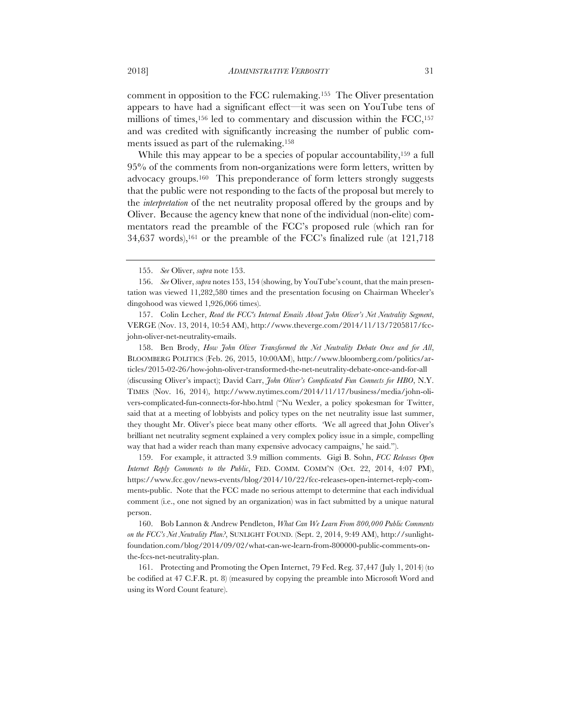comment in opposition to the FCC rulemaking.155 The Oliver presentation appears to have had a significant effect—it was seen on YouTube tens of millions of times,<sup>156</sup> led to commentary and discussion within the FCC,<sup>157</sup> and was credited with significantly increasing the number of public comments issued as part of the rulemaking.158

While this may appear to be a species of popular accountability,<sup>159</sup> a full 95% of the comments from non-organizations were form letters, written by advocacy groups.160 This preponderance of form letters strongly suggests that the public were not responding to the facts of the proposal but merely to the *interpretation* of the net neutrality proposal offered by the groups and by Oliver. Because the agency knew that none of the individual (non-elite) commentators read the preamble of the FCC's proposed rule (which ran for  $34,637$  words),<sup>161</sup> or the preamble of the FCC's finalized rule (at  $121,718$ )

157. Colin Lecher, *Read the FCC's Internal Emails About John Oliver's Net Neutrality Segment*, VERGE (Nov. 13, 2014, 10:54 AM), http://www.theverge.com/2014/11/13/7205817/fccjohn-oliver-net-neutrality-emails.

158. Ben Brody, *How John Oliver Transformed the Net Neutrality Debate Once and for All*, BLOOMBERG POLITICS (Feb. 26, 2015, 10:00AM), http://www.bloomberg.com/politics/articles/2015-02-26/how-john-oliver-transformed-the-net-neutrality-debate-once-and-for-all (discussing Oliver's impact); David Carr, *John Oliver's Complicated Fun Connects for HBO*, N.Y. TIMES (Nov. 16, 2014), http://www.nytimes.com/2014/11/17/business/media/john-olivers-complicated-fun-connects-for-hbo.html ("Nu Wexler, a policy spokesman for Twitter, said that at a meeting of lobbyists and policy types on the net neutrality issue last summer, they thought Mr. Oliver's piece beat many other efforts. 'We all agreed that John Oliver's brilliant net neutrality segment explained a very complex policy issue in a simple, compelling way that had a wider reach than many expensive advocacy campaigns,' he said.").

159. For example, it attracted 3.9 million comments. Gigi B. Sohn, *FCC Releases Open Internet Reply Comments to the Public*, FED. COMM. COMM'N (Oct. 22, 2014, 4:07 PM), https://www.fcc.gov/news-events/blog/2014/10/22/fcc-releases-open-internet-reply-comments-public. Note that the FCC made no serious attempt to determine that each individual comment (i.e., one not signed by an organization) was in fact submitted by a unique natural person.

160. Bob Lannon & Andrew Pendleton, *What Can We Learn From 800,000 Public Comments on the FCC's Net Neutrality Plan?*, SUNLIGHT FOUND. (Sept. 2, 2014, 9:49 AM), http://sunlightfoundation.com/blog/2014/09/02/what-can-we-learn-from-800000-public-comments-onthe-fccs-net-neutrality-plan.

161. Protecting and Promoting the Open Internet, 79 Fed. Reg. 37,447 (July 1, 2014) (to be codified at 47 C.F.R. pt. 8) (measured by copying the preamble into Microsoft Word and using its Word Count feature).

<sup>155.</sup> *See* Oliver, *supra* note 153.

<sup>156.</sup> *See* Oliver, *supra* notes 153, 154 (showing, by YouTube's count, that the main presentation was viewed 11,282,580 times and the presentation focusing on Chairman Wheeler's dingohood was viewed 1,926,066 times).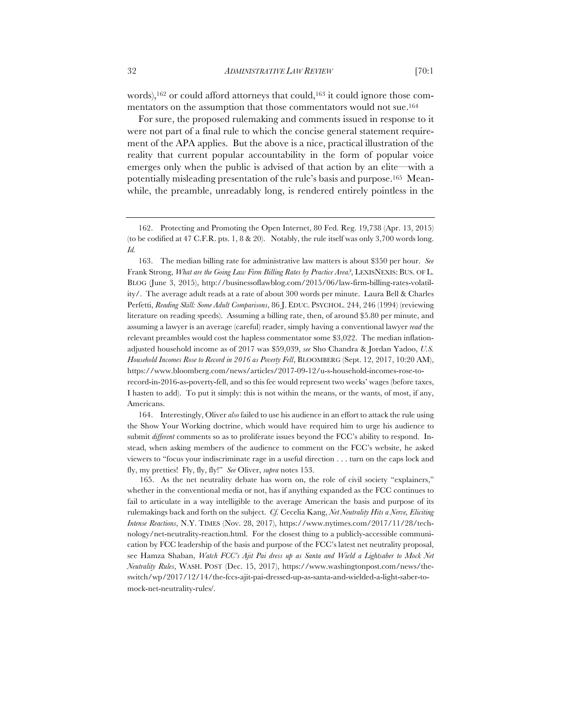words),<sup>162</sup> or could afford attorneys that could,<sup>163</sup> it could ignore those commentators on the assumption that those commentators would not sue.164

For sure, the proposed rulemaking and comments issued in response to it were not part of a final rule to which the concise general statement requirement of the APA applies. But the above is a nice, practical illustration of the reality that current popular accountability in the form of popular voice emerges only when the public is advised of that action by an elite—with a potentially misleading presentation of the rule's basis and purpose.165 Meanwhile, the preamble, unreadably long, is rendered entirely pointless in the

164. Interestingly, Oliver *also* failed to use his audience in an effort to attack the rule using the Show Your Working doctrine, which would have required him to urge his audience to submit *different* comments so as to proliferate issues beyond the FCC's ability to respond. Instead, when asking members of the audience to comment on the FCC's website, he asked viewers to "focus your indiscriminate rage in a useful direction . . . turn on the caps lock and fly, my pretties! Fly, fly, fly!" *See* Oliver, *supra* notes 153.

 165. As the net neutrality debate has worn on, the role of civil society "explainers," whether in the conventional media or not, has if anything expanded as the FCC continues to fail to articulate in a way intelligible to the average American the basis and purpose of its rulemakings back and forth on the subject. *Cf.* Cecelia Kang, *Net Neutrality Hits a Nerve, Eliciting Intense Reactions*, N.Y. TIMES (Nov. 28, 2017), https://www.nytimes.com/2017/11/28/technology/net-neutrality-reaction.html. For the closest thing to a publicly-accessible communication by FCC leadership of the basis and purpose of the FCC's latest net neutrality proposal, see Hamza Shaban, *Watch FCC's Ajit Pai dress up as Santa and Wield a Lightsaber to Mock Net Neutrality Rules*, WASH. POST (Dec. 15, 2017), https://www.washingtonpost.com/news/theswitch/wp/2017/12/14/the-fccs-ajit-pai-dressed-up-as-santa-and-wielded-a-light-saber-tomock-net-neutrality-rules/.

<sup>162.</sup> Protecting and Promoting the Open Internet, 80 Fed. Reg. 19,738 (Apr. 13, 2015) (to be codified at 47 C.F.R. pts. 1, 8 & 20). Notably, the rule itself was only 3,700 words long. *Id.*

<sup>163.</sup> The median billing rate for administrative law matters is about \$350 per hour. *See*  Frank Strong, *What are the Going Law Firm Billing Rates by Practice Area?*, LEXISNEXIS: BUS. OF L. BLOG (June 3, 2015), http://businessoflawblog.com/2015/06/law-firm-billing-rates-volatility/. The average adult reads at a rate of about 300 words per minute. Laura Bell & Charles Perfetti, *Reading Skill: Some Adult Comparisons*, 86 J. EDUC. PSYCHOL. 244, 246 (1994) (reviewing literature on reading speeds). Assuming a billing rate, then, of around \$5.80 per minute, and assuming a lawyer is an average (careful) reader, simply having a conventional lawyer *read* the relevant preambles would cost the hapless commentator some \$3,022. The median inflationadjusted household income as of 2017 was \$59,039, *see* Sho Chandra & Jordan Yadoo, *U.S. Household Incomes Rose to Record in 2016 as Poverty Fell*, BLOOMBERG (Sept. 12, 2017, 10:20 AM), https://www.bloomberg.com/news/articles/2017-09-12/u-s-household-incomes-rose-torecord-in-2016-as-poverty-fell, and so this fee would represent two weeks' wages (before taxes, I hasten to add). To put it simply: this is not within the means, or the wants, of most, if any, Americans.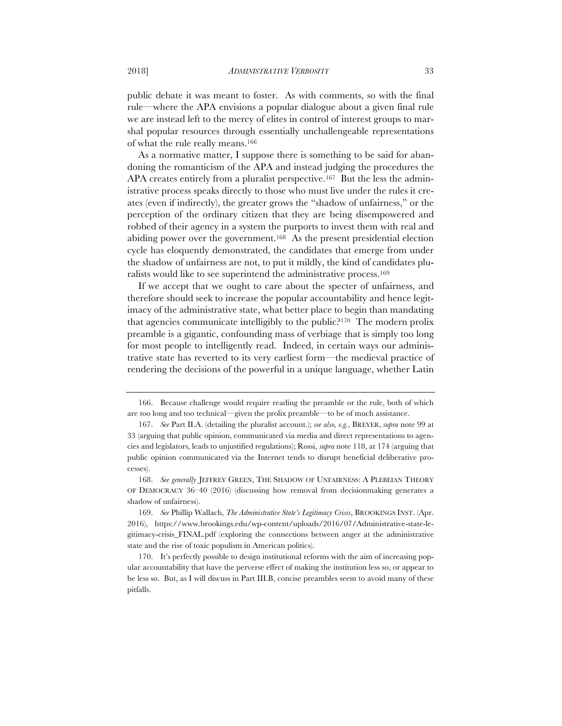public debate it was meant to foster. As with comments, so with the final rule—where the APA envisions a popular dialogue about a given final rule we are instead left to the mercy of elites in control of interest groups to marshal popular resources through essentially unchallengeable representations of what the rule really means.166

As a normative matter, I suppose there is something to be said for abandoning the romanticism of the APA and instead judging the procedures the APA creates entirely from a pluralist perspective.<sup>167</sup> But the less the administrative process speaks directly to those who must live under the rules it creates (even if indirectly), the greater grows the "shadow of unfairness," or the perception of the ordinary citizen that they are being disempowered and robbed of their agency in a system the purports to invest them with real and abiding power over the government.168 As the present presidential election cycle has eloquently demonstrated, the candidates that emerge from under the shadow of unfairness are not, to put it mildly, the kind of candidates pluralists would like to see superintend the administrative process.169

If we accept that we ought to care about the specter of unfairness, and therefore should seek to increase the popular accountability and hence legitimacy of the administrative state, what better place to begin than mandating that agencies communicate intelligibly to the public?170 The modern prolix preamble is a gigantic, confounding mass of verbiage that is simply too long for most people to intelligently read. Indeed, in certain ways our administrative state has reverted to its very earliest form—the medieval practice of rendering the decisions of the powerful in a unique language, whether Latin

<sup>166.</sup> Because challenge would require reading the preamble or the rule, both of which are too long and too technical—given the prolix preamble—to be of much assistance.

<sup>167.</sup> *See* Part II.A. (detailing the pluralist account.); *see also, e.g.*, BREYER, *supra* note 99 at 33 (arguing that public opinion, communicated via media and direct representations to agencies and legislators, leads to unjustified regulations); Rossi, *supra* note 118, at 174 (arguing that public opinion communicated via the Internet tends to disrupt beneficial deliberative processes).

<sup>168.</sup> *See generally* JEFFREY GREEN, THE SHADOW OF UNFAIRNESS: A PLEBEIAN THEORY OF DEMOCRACY 36–40 (2016) (discussing how removal from decisionmaking generates a shadow of unfairness).

<sup>169.</sup> *See* Phillip Wallach, *The Administrative State's Legitimacy Crisis*, BROOKINGS INST. (Apr. 2016), https://www.brookings.edu/wp-content/uploads/2016/07/Administrative-state-legitimacy-crisis\_FINAL.pdf (exploring the connections between anger at the administrative state and the rise of toxic populism in American politics).

<sup>170.</sup> It's perfectly possible to design institutional reforms with the aim of increasing popular accountability that have the perverse effect of making the institution less so, or appear to be less so. But, as I will discuss in Part III.B, concise preambles seem to avoid many of these pitfalls.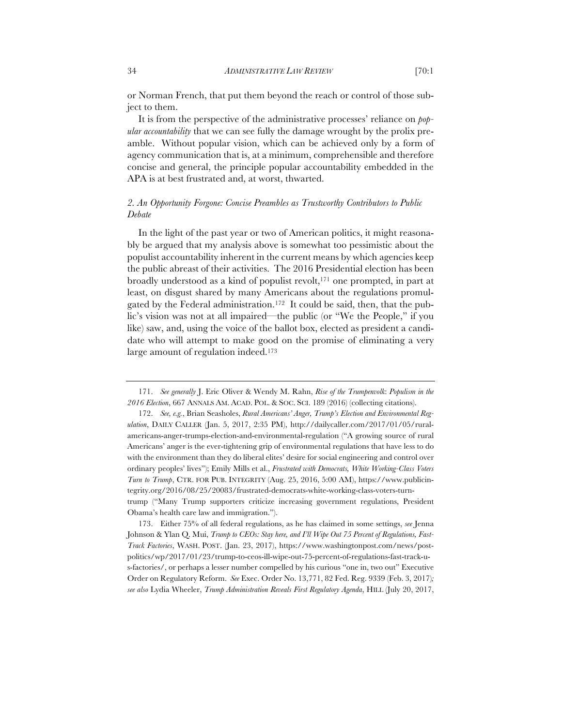or Norman French, that put them beyond the reach or control of those subject to them.

It is from the perspective of the administrative processes' reliance on *popular accountability* that we can see fully the damage wrought by the prolix preamble. Without popular vision, which can be achieved only by a form of agency communication that is, at a minimum, comprehensible and therefore concise and general, the principle popular accountability embedded in the APA is at best frustrated and, at worst, thwarted.

# *2. An Opportunity Forgone: Concise Preambles as Trustworthy Contributors to Public Debate*

In the light of the past year or two of American politics, it might reasonably be argued that my analysis above is somewhat too pessimistic about the populist accountability inherent in the current means by which agencies keep the public abreast of their activities. The 2016 Presidential election has been broadly understood as a kind of populist revolt,171 one prompted, in part at least, on disgust shared by many Americans about the regulations promulgated by the Federal administration.172 It could be said, then, that the public's vision was not at all impaired—the public (or "We the People," if you like) saw, and, using the voice of the ballot box, elected as president a candidate who will attempt to make good on the promise of eliminating a very large amount of regulation indeed.173

173. Either 75% of all federal regulations, as he has claimed in some settings, *see* Jenna Johnson & Ylan Q. Mui, *Trump to CEOs: Stay here, and I'll Wipe Out 75 Percent of Regulations, Fast-Track Factories*, WASH. POST. (Jan. 23, 2017), https://www.washingtonpost.com/news/postpolitics/wp/2017/01/23/trump-to-ceos-ill-wipe-out-75-percent-of-regulations-fast-track-us-factories/, or perhaps a lesser number compelled by his curious "one in, two out" Executive Order on Regulatory Reform. *See* Exec. Order No. 13,771, 82 Fed. Reg. 9339 (Feb. 3, 2017)*; see also* Lydia Wheeler, *Trump Administration Reveals First Regulatory Agenda*, HILL (July 20, 2017,

<sup>171.</sup> *See generally* J. Eric Oliver & Wendy M. Rahn, *Rise of the Trumpenvolk*: *Populism in the 2016 Election*, 667 ANNALS AM. ACAD. POL. & SOC. SCI. 189 (2016) (collecting citations).

<sup>172.</sup> *See, e.g.*, Brian Seasholes, *Rural Americans' Anger, Trump's Election and Environmental Regulation*, DAILY CALLER (Jan. 5, 2017, 2:35 PM), http://dailycaller.com/2017/01/05/ruralamericans-anger-trumps-election-and-environmental-regulation ("A growing source of rural Americans' anger is the ever-tightening grip of environmental regulations that have less to do with the environment than they do liberal elites' desire for social engineering and control over ordinary peoples' lives"); Emily Mills et al., *Frustrated with Democrats, White Working-Class Voters Turn to Trump*, CTR. FOR PUB. INTEGRITY (Aug. 25, 2016, 5:00 AM), https://www.publicintegrity.org/2016/08/25/20083/frustrated-democrats-white-working-class-voters-turntrump ("Many Trump supporters criticize increasing government regulations, President Obama's health care law and immigration.").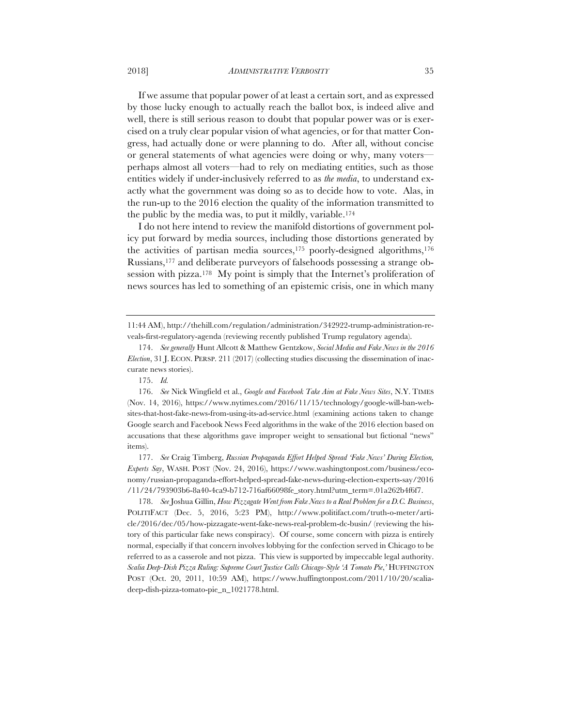If we assume that popular power of at least a certain sort, and as expressed by those lucky enough to actually reach the ballot box, is indeed alive and well, there is still serious reason to doubt that popular power was or is exercised on a truly clear popular vision of what agencies, or for that matter Congress, had actually done or were planning to do. After all, without concise or general statements of what agencies were doing or why, many voters perhaps almost all voters—had to rely on mediating entities, such as those entities widely if under-inclusively referred to as *the media*, to understand exactly what the government was doing so as to decide how to vote. Alas, in the run-up to the 2016 election the quality of the information transmitted to the public by the media was, to put it mildly, variable.174

I do not here intend to review the manifold distortions of government policy put forward by media sources, including those distortions generated by the activities of partisan media sources, $175$  poorly-designed algorithms, $176$ Russians,177 and deliberate purveyors of falsehoods possessing a strange obsession with pizza.<sup>178</sup> My point is simply that the Internet's proliferation of news sources has led to something of an epistemic crisis, one in which many

177. *See* Craig Timberg, *Russian Propaganda Effort Helped Spread 'Fake News' During Election, Experts Say*, WASH. POST (Nov. 24, 2016), https://www.washingtonpost.com/business/economy/russian-propaganda-effort-helped-spread-fake-news-during-election-experts-say/2016 /11/24/793903b6-8a40-4ca9-b712-716af66098fe\_story.html?utm\_term=.01a262b4f6f7.

178. *See* Joshua Gillin, *How Pizzagate Went from Fake News to a Real Problem for a D.C. Business*, POLITIFACT (Dec. 5, 2016, 5:23 PM), http://www.politifact.com/truth-o-meter/article/2016/dec/05/how-pizzagate-went-fake-news-real-problem-dc-busin/ (reviewing the history of this particular fake news conspiracy). Of course, some concern with pizza is entirely normal, especially if that concern involves lobbying for the confection served in Chicago to be referred to as a casserole and not pizza. This view is supported by impeccable legal authority. *Scalia Deep-Dish Pizza Ruling: Supreme Court Justice Calls Chicago-Style 'A Tomato Pie*,*'* HUFFINGTON POST (Oct. 20, 2011, 10:59 AM), https://www.huffingtonpost.com/2011/10/20/scaliadeep-dish-pizza-tomato-pie\_n\_1021778.html.

<sup>11:44</sup> AM), http://thehill.com/regulation/administration/342922-trump-administration-reveals-first-regulatory-agenda (reviewing recently published Trump regulatory agenda).

<sup>174.</sup> *See generally* Hunt Allcott & Matthew Gentzkow, *Social Media and Fake News in the 2016 Election*, 31 J. ECON. PERSP. 211 (2017) (collecting studies discussing the dissemination of inaccurate news stories).

<sup>175.</sup> *Id.*

<sup>176.</sup> *See* Nick Wingfield et al., *Google and Facebook Take Aim at Fake News Sites*, N.Y. TIMES (Nov. 14, 2016), https://www.nytimes.com/2016/11/15/technology/google-will-ban-websites-that-host-fake-news-from-using-its-ad-service.html (examining actions taken to change Google search and Facebook News Feed algorithms in the wake of the 2016 election based on accusations that these algorithms gave improper weight to sensational but fictional "news" items).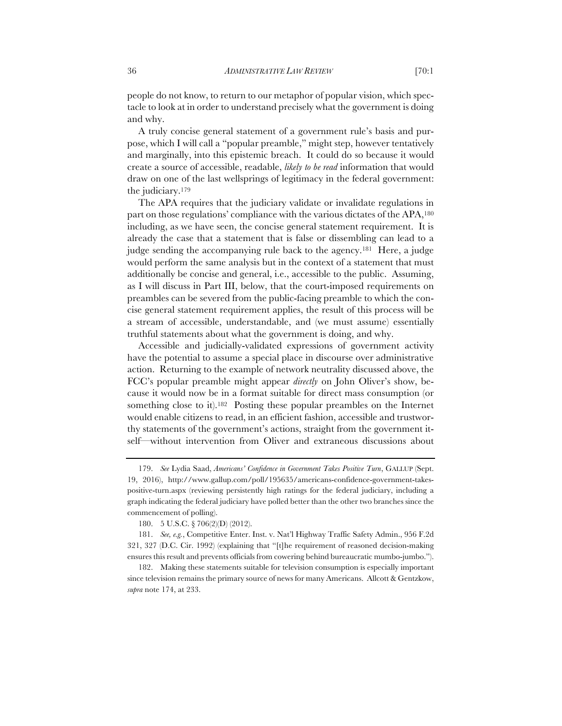people do not know, to return to our metaphor of popular vision, which spectacle to look at in order to understand precisely what the government is doing and why.

A truly concise general statement of a government rule's basis and purpose, which I will call a "popular preamble," might step, however tentatively and marginally, into this epistemic breach. It could do so because it would create a source of accessible, readable, *likely to be read* information that would draw on one of the last wellsprings of legitimacy in the federal government: the judiciary.179

The APA requires that the judiciary validate or invalidate regulations in part on those regulations' compliance with the various dictates of the APA,180 including, as we have seen, the concise general statement requirement. It is already the case that a statement that is false or dissembling can lead to a judge sending the accompanying rule back to the agency.181 Here, a judge would perform the same analysis but in the context of a statement that must additionally be concise and general, i.e., accessible to the public. Assuming, as I will discuss in Part III, below, that the court-imposed requirements on preambles can be severed from the public-facing preamble to which the concise general statement requirement applies, the result of this process will be a stream of accessible, understandable, and (we must assume) essentially truthful statements about what the government is doing, and why.

Accessible and judicially-validated expressions of government activity have the potential to assume a special place in discourse over administrative action. Returning to the example of network neutrality discussed above, the FCC's popular preamble might appear *directly* on John Oliver's show, because it would now be in a format suitable for direct mass consumption (or something close to it).182 Posting these popular preambles on the Internet would enable citizens to read, in an efficient fashion, accessible and trustworthy statements of the government's actions, straight from the government itself—without intervention from Oliver and extraneous discussions about

<sup>179.</sup> *See* Lydia Saad, *Americans' Confidence in Government Takes Positive Turn*, GALLUP (Sept. 19, 2016), http://www.gallup.com/poll/195635/americans-confidence-government-takespositive-turn.aspx (reviewing persistently high ratings for the federal judiciary, including a graph indicating the federal judiciary have polled better than the other two branches since the commencement of polling).

<sup>180.</sup> 5 U.S.C. § 706(2)(D) (2012).

<sup>181.</sup> *See, e.g.*, Competitive Enter. Inst. v. Nat'l Highway Traffic Safety Admin., 956 F.2d 321, 327 (D.C. Cir. 1992) (explaining that "[t]he requirement of reasoned decision-making ensures this result and prevents officials from cowering behind bureaucratic mumbo-jumbo.").

<sup>182.</sup> Making these statements suitable for television consumption is especially important since television remains the primary source of news for many Americans. Allcott & Gentzkow, *supra* note 174, at 233.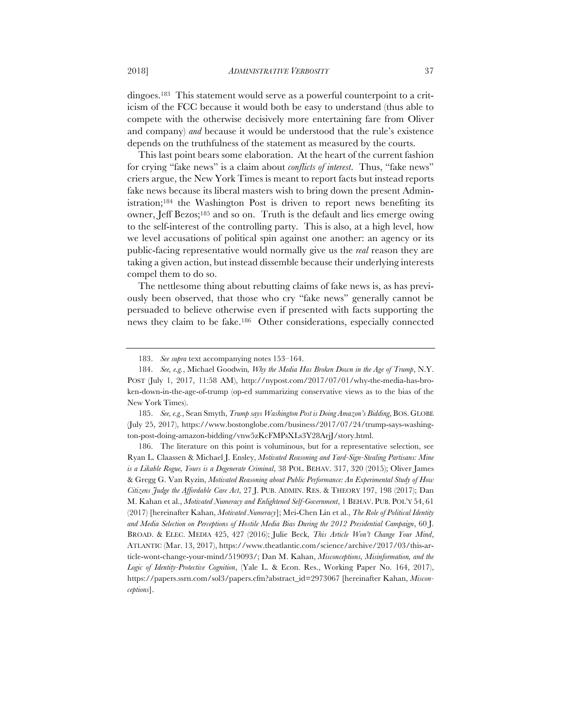dingoes.183 This statement would serve as a powerful counterpoint to a criticism of the FCC because it would both be easy to understand (thus able to compete with the otherwise decisively more entertaining fare from Oliver and company) *and* because it would be understood that the rule's existence depends on the truthfulness of the statement as measured by the courts.

This last point bears some elaboration. At the heart of the current fashion for crying "fake news" is a claim about *conflicts of interest*. Thus, "fake news" criers argue, the New York Times is meant to report facts but instead reports fake news because its liberal masters wish to bring down the present Administration;184 the Washington Post is driven to report news benefiting its owner, Jeff Bezos;185 and so on. Truth is the default and lies emerge owing to the self-interest of the controlling party. This is also, at a high level, how we level accusations of political spin against one another: an agency or its public-facing representative would normally give us the *real* reason they are taking a given action, but instead dissemble because their underlying interests compel them to do so.

The nettlesome thing about rebutting claims of fake news is, as has previously been observed, that those who cry "fake news" generally cannot be persuaded to believe otherwise even if presented with facts supporting the news they claim to be fake.186 Other considerations, especially connected

<sup>183.</sup> *See supra* text accompanying notes 153–164.

<sup>184.</sup> *See, e.g.*, Michael Goodwin*, Why the Media Has Broken Down in the Age of Trump*, N.Y. POST (July 1, 2017, 11:58 AM), http://nypost.com/2017/07/01/why-the-media-has-broken-down-in-the-age-of-trump (op-ed summarizing conservative views as to the bias of the New York Times).

<sup>185.</sup> *See, e.g.*, Sean Smyth, *Trump says Washington Post is Doing Amazon's Bidding*, BOS.GLOBE (July 25, 2017), https://www.bostonglobe.com/business/2017/07/24/trump-says-washington-post-doing-amazon-bidding/vnw5zKcFMPsXLs3Y28ArjJ/story.html.

<sup>186.</sup> The literature on this point is voluminous, but for a representative selection, see Ryan L. Claassen & Michael J. Ensley, *Motivated Reasoning and Yard-Sign-Stealing Partisans: Mine is a Likable Rogue, Yours is a Degenerate Criminal*, 38 POL. BEHAV. 317, 320 (2015); Oliver James & Gregg G. Van Ryzin, *Motivated Reasoning about Public Performance: An Experimental Study of How Citizens Judge the Affordable Care Act*, 27 J. PUB. ADMIN. RES. & THEORY 197, 198 (2017); Dan M. Kahan et al., *Motivated Numeracy and Enlightened Self-Government*, 1 BEHAV. PUB. POL'Y 54, 61 (2017) [hereinafter Kahan, *Motivated Numeracy*]; Mei-Chen Lin et al., *The Role of Political Identity and Media Selection on Perceptions of Hostile Media Bias During the 2012 Presidential Campaign*, 60 J. BROAD. & ELEC. MEDIA 425, 427 (2016); Julie Beck, *This Article Won't Change Your Mind*, ATLANTIC (Mar. 13, 2017), https://www.theatlantic.com/science/archive/2017/03/this-article-wont-change-your-mind/519093/; Dan M. Kahan, *Misconceptions, Misinformation, and the Logic of Identity-Protective Cognition*, (Yale L. & Econ. Res., Working Paper No. 164, 2017), https://papers.ssrn.com/sol3/papers.cfm?abstract\_id=2973067 [hereinafter Kahan, *Misconceptions*].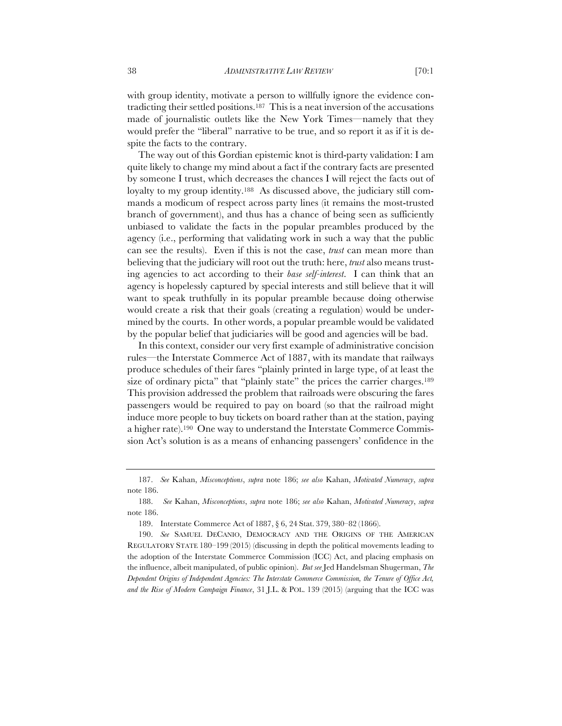with group identity, motivate a person to willfully ignore the evidence contradicting their settled positions.187 This is a neat inversion of the accusations made of journalistic outlets like the New York Times—namely that they would prefer the "liberal" narrative to be true, and so report it as if it is despite the facts to the contrary.

The way out of this Gordian epistemic knot is third-party validation: I am quite likely to change my mind about a fact if the contrary facts are presented by someone I trust, which decreases the chances I will reject the facts out of loyalty to my group identity.<sup>188</sup> As discussed above, the judiciary still commands a modicum of respect across party lines (it remains the most-trusted branch of government), and thus has a chance of being seen as sufficiently unbiased to validate the facts in the popular preambles produced by the agency (i.e., performing that validating work in such a way that the public can see the results). Even if this is not the case, *trust* can mean more than believing that the judiciary will root out the truth: here, *trust* also means trusting agencies to act according to their *base self-interest*. I can think that an agency is hopelessly captured by special interests and still believe that it will want to speak truthfully in its popular preamble because doing otherwise would create a risk that their goals (creating a regulation) would be undermined by the courts. In other words, a popular preamble would be validated by the popular belief that judiciaries will be good and agencies will be bad.

In this context, consider our very first example of administrative concision rules—the Interstate Commerce Act of 1887, with its mandate that railways produce schedules of their fares "plainly printed in large type, of at least the size of ordinary picta" that "plainly state" the prices the carrier charges.<sup>189</sup> This provision addressed the problem that railroads were obscuring the fares passengers would be required to pay on board (so that the railroad might induce more people to buy tickets on board rather than at the station, paying a higher rate).190 One way to understand the Interstate Commerce Commission Act's solution is as a means of enhancing passengers' confidence in the

<sup>187.</sup> *See* Kahan, *Misconceptions*, *supra* note 186; *see also* Kahan, *Motivated Numeracy*, *supra*  note 186.

<sup>188.</sup> *See* Kahan, *Misconceptions*, *supra* note 186; *see also* Kahan, *Motivated Numeracy*, *supra*  note 186.

<sup>189.</sup> Interstate Commerce Act of 1887, § 6, 24 Stat. 379, 380–82 (1866).

<sup>190.</sup> *See* SAMUEL DECANIO, DEMOCRACY AND THE ORIGINS OF THE AMERICAN REGULATORY STATE 180–199 (2015) (discussing in depth the political movements leading to the adoption of the Interstate Commerce Commission (ICC) Act, and placing emphasis on the influence, albeit manipulated, of public opinion). *But see* Jed Handelsman Shugerman, *The Dependent Origins of Independent Agencies: The Interstate Commerce Commission, the Tenure of Office Act, and the Rise of Modern Campaign Finance*, 31 J.L. & POL. 139 (2015) (arguing that the ICC was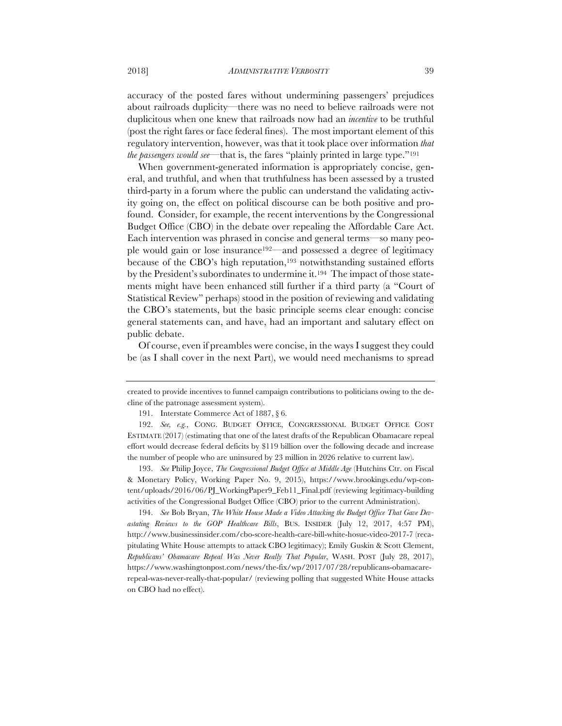accuracy of the posted fares without undermining passengers' prejudices about railroads duplicity—there was no need to believe railroads were not duplicitous when one knew that railroads now had an *incentive* to be truthful (post the right fares or face federal fines). The most important element of this regulatory intervention, however, was that it took place over information *that the passengers would see*—that is, the fares "plainly printed in large type."191

When government-generated information is appropriately concise, general, and truthful, and when that truthfulness has been assessed by a trusted third-party in a forum where the public can understand the validating activity going on, the effect on political discourse can be both positive and profound. Consider, for example, the recent interventions by the Congressional Budget Office (CBO) in the debate over repealing the Affordable Care Act. Each intervention was phrased in concise and general terms—so many people would gain or lose insurance192—and possessed a degree of legitimacy because of the CBO's high reputation,<sup>193</sup> notwithstanding sustained efforts by the President's subordinates to undermine it.<sup>194</sup> The impact of those statements might have been enhanced still further if a third party (a "Court of Statistical Review" perhaps) stood in the position of reviewing and validating the CBO's statements, but the basic principle seems clear enough: concise general statements can, and have, had an important and salutary effect on public debate.

Of course, even if preambles were concise, in the ways I suggest they could be (as I shall cover in the next Part), we would need mechanisms to spread

193. *See* Philip Joyce, *The Congressional Budget Office at Middle Age* (Hutchins Ctr. on Fiscal & Monetary Policy, Working Paper No. 9, 2015), https://www.brookings.edu/wp-content/uploads/2016/06/PJ\_WorkingPaper9\_Feb11\_Final.pdf (reviewing legitimacy-building activities of the Congressional Budget Office (CBO) prior to the current Administration).

194. *See* Bob Bryan, *The White House Made a Video Attacking the Budget Office That Gave Devastating Reviews to the GOP Healthcare Bills*, BUS. INSIDER (July 12, 2017, 4:57 PM), http://www.businessinsider.com/cbo-score-health-care-bill-white-hosue-video-2017-7 (recapitulating White House attempts to attack CBO legitimacy); Emily Guskin & Scott Clement, *Republicans' Obamacare Repeal Was Never Really That Popular*, WASH. POST (July 28, 2017), https://www.washingtonpost.com/news/the-fix/wp/2017/07/28/republicans-obamacarerepeal-was-never-really-that-popular/ (reviewing polling that suggested White House attacks on CBO had no effect).

created to provide incentives to funnel campaign contributions to politicians owing to the decline of the patronage assessment system).

<sup>191.</sup> Interstate Commerce Act of 1887, § 6.

<sup>192.</sup> *See, e.g.*, CONG. BUDGET OFFICE, CONGRESSIONAL BUDGET OFFICE COST ESTIMATE (2017) (estimating that one of the latest drafts of the Republican Obamacare repeal effort would decrease federal deficits by \$119 billion over the following decade and increase the number of people who are uninsured by 23 million in 2026 relative to current law).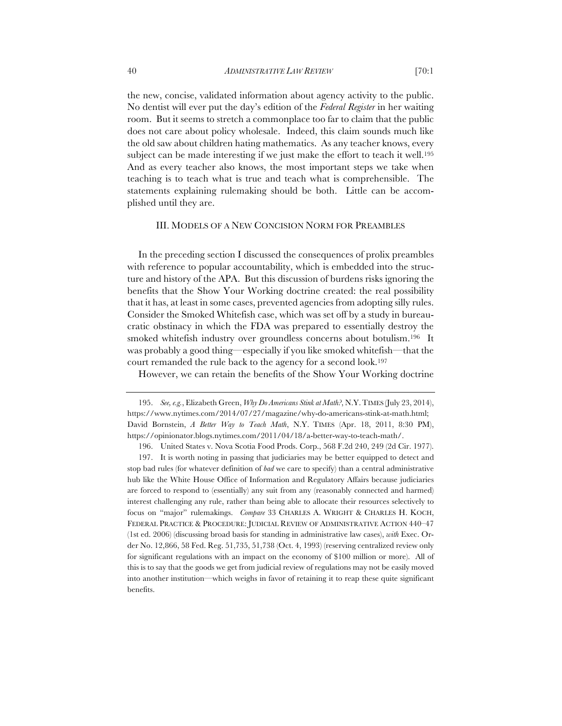the new, concise, validated information about agency activity to the public. No dentist will ever put the day's edition of the *Federal Register* in her waiting room. But it seems to stretch a commonplace too far to claim that the public does not care about policy wholesale. Indeed, this claim sounds much like the old saw about children hating mathematics. As any teacher knows, every subject can be made interesting if we just make the effort to teach it well.<sup>195</sup> And as every teacher also knows, the most important steps we take when teaching is to teach what is true and teach what is comprehensible. The statements explaining rulemaking should be both. Little can be accomplished until they are.

## III. MODELS OF A NEW CONCISION NORM FOR PREAMBLES

In the preceding section I discussed the consequences of prolix preambles with reference to popular accountability, which is embedded into the structure and history of the APA. But this discussion of burdens risks ignoring the benefits that the Show Your Working doctrine created: the real possibility that it has, at least in some cases, prevented agencies from adopting silly rules. Consider the Smoked Whitefish case, which was set off by a study in bureaucratic obstinacy in which the FDA was prepared to essentially destroy the smoked whitefish industry over groundless concerns about botulism.196 It was probably a good thing—especially if you like smoked whitefish—that the court remanded the rule back to the agency for a second look.197

However, we can retain the benefits of the Show Your Working doctrine

<sup>195.</sup> *See, e.g.*, Elizabeth Green, *Why Do Americans Stink at Math?*, N.Y.TIMES (July 23, 2014), https://www.nytimes.com/2014/07/27/magazine/why-do-americans-stink-at-math.html; David Bornstein, *A Better Way to Teach Math*, N.Y. TIMES (Apr. 18, 2011, 8:30 PM), https://opinionator.blogs.nytimes.com/2011/04/18/a-better-way-to-teach-math/.

<sup>196.</sup> United States v. Nova Scotia Food Prods. Corp., 568 F.2d 240, 249 (2d Cir. 1977).

<sup>197.</sup> It is worth noting in passing that judiciaries may be better equipped to detect and stop bad rules (for whatever definition of *bad* we care to specify) than a central administrative hub like the White House Office of Information and Regulatory Affairs because judiciaries are forced to respond to (essentially) any suit from any (reasonably connected and harmed) interest challenging any rule, rather than being able to allocate their resources selectively to focus on "major" rulemakings. *Compare* 33 CHARLES A. WRIGHT & CHARLES H. KOCH, FEDERAL PRACTICE & PROCEDURE: JUDICIAL REVIEW OF ADMINISTRATIVE ACTION 440–47 (1st ed. 2006) (discussing broad basis for standing in administrative law cases), *with* Exec. Order No. 12,866, 58 Fed. Reg. 51,735, 51,738 (Oct. 4, 1993) (reserving centralized review only for significant regulations with an impact on the economy of \$100 million or more). All of this is to say that the goods we get from judicial review of regulations may not be easily moved into another institution—which weighs in favor of retaining it to reap these quite significant benefits.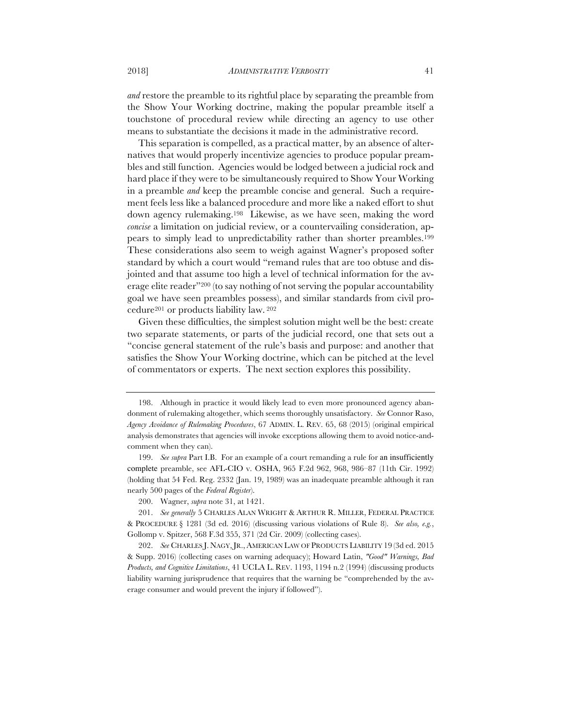*and* restore the preamble to its rightful place by separating the preamble from the Show Your Working doctrine, making the popular preamble itself a touchstone of procedural review while directing an agency to use other means to substantiate the decisions it made in the administrative record.

This separation is compelled, as a practical matter, by an absence of alternatives that would properly incentivize agencies to produce popular preambles and still function. Agencies would be lodged between a judicial rock and hard place if they were to be simultaneously required to Show Your Working in a preamble *and* keep the preamble concise and general. Such a requirement feels less like a balanced procedure and more like a naked effort to shut down agency rulemaking.198 Likewise, as we have seen, making the word *concise* a limitation on judicial review, or a countervailing consideration, appears to simply lead to unpredictability rather than shorter preambles.199 These considerations also seem to weigh against Wagner's proposed softer standard by which a court would "remand rules that are too obtuse and disjointed and that assume too high a level of technical information for the average elite reader"200 (to say nothing of not serving the popular accountability goal we have seen preambles possess), and similar standards from civil procedure201 or products liability law. 202

Given these difficulties, the simplest solution might well be the best: create two separate statements, or parts of the judicial record, one that sets out a "concise general statement of the rule's basis and purpose: and another that satisfies the Show Your Working doctrine, which can be pitched at the level of commentators or experts. The next section explores this possibility.

<sup>198.</sup> Although in practice it would likely lead to even more pronounced agency abandonment of rulemaking altogether, which seems thoroughly unsatisfactory. *See* Connor Raso, *Agency Avoidance of Rulemaking Procedures*, 67 ADMIN. L. REV. 65, 68 (2015) (original empirical analysis demonstrates that agencies will invoke exceptions allowing them to avoid notice-andcomment when they can).

<sup>199.</sup> *See supra* Part I.B. For an example of a court remanding a rule for an insufficiently complete preamble, see AFL-CIO v. OSHA, 965 F.2d 962, 968, 986–87 (11th Cir. 1992) (holding that 54 Fed. Reg. 2332 (Jan. 19, 1989) was an inadequate preamble although it ran nearly 500 pages of the *Federal Register*).

<sup>200.</sup> Wagner, *supra* note 31, at 1421.

<sup>201.</sup> *See generally* 5 CHARLES ALAN WRIGHT & ARTHUR R. MILLER, FEDERAL PRACTICE & PROCEDURE § 1281 (3d ed. 2016) (discussing various violations of Rule 8). *See also, e.g.*, Gollomp v. Spitzer, 568 F.3d 355, 371 (2d Cir. 2009) (collecting cases).

<sup>202.</sup> *See* CHARLES J. NAGY,JR., AMERICAN LAW OF PRODUCTS LIABILITY 19 (3d ed. 2015 & Supp. 2016) (collecting cases on warning adequacy); Howard Latin, *"Good" Warnings, Bad Products, and Cognitive Limitations*, 41 UCLA L. REV. 1193, 1194 n.2 (1994) (discussing products liability warning jurisprudence that requires that the warning be "comprehended by the average consumer and would prevent the injury if followed").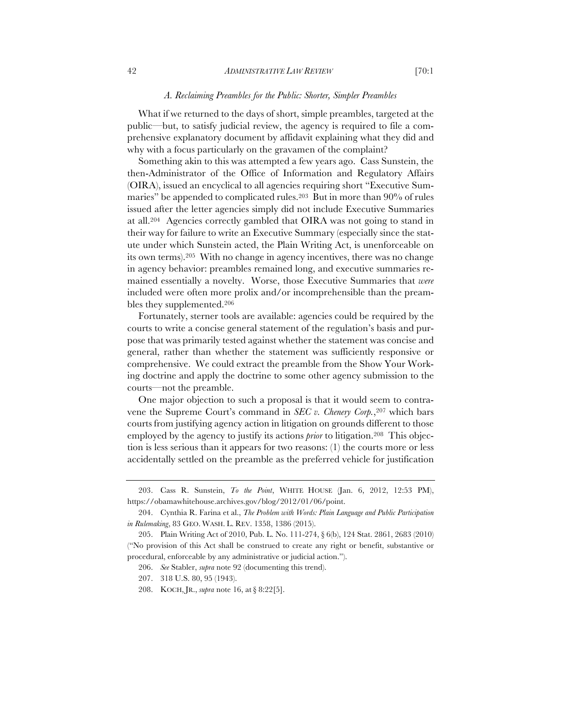#### *A. Reclaiming Preambles for the Public: Shorter, Simpler Preambles*

What if we returned to the days of short, simple preambles, targeted at the public—but, to satisfy judicial review, the agency is required to file a comprehensive explanatory document by affidavit explaining what they did and why with a focus particularly on the gravamen of the complaint?

Something akin to this was attempted a few years ago. Cass Sunstein, the then-Administrator of the Office of Information and Regulatory Affairs (OIRA), issued an encyclical to all agencies requiring short "Executive Summaries" be appended to complicated rules.<sup>203</sup> But in more than 90% of rules issued after the letter agencies simply did not include Executive Summaries at all.204 Agencies correctly gambled that OIRA was not going to stand in their way for failure to write an Executive Summary (especially since the statute under which Sunstein acted, the Plain Writing Act, is unenforceable on its own terms).205 With no change in agency incentives, there was no change in agency behavior: preambles remained long, and executive summaries remained essentially a novelty. Worse, those Executive Summaries that *were*  included were often more prolix and/or incomprehensible than the preambles they supplemented.206

Fortunately, sterner tools are available: agencies could be required by the courts to write a concise general statement of the regulation's basis and purpose that was primarily tested against whether the statement was concise and general, rather than whether the statement was sufficiently responsive or comprehensive. We could extract the preamble from the Show Your Working doctrine and apply the doctrine to some other agency submission to the courts—not the preamble.

One major objection to such a proposal is that it would seem to contravene the Supreme Court's command in *SEC v. Chenery Corp.*,<sup>207</sup> which bars courts from justifying agency action in litigation on grounds different to those employed by the agency to justify its actions *prior* to litigation.208 This objection is less serious than it appears for two reasons: (1) the courts more or less accidentally settled on the preamble as the preferred vehicle for justification

<sup>203.</sup> Cass R. Sunstein, *To the Point*, WHITE HOUSE (Jan. 6, 2012, 12:53 PM), https://obamawhitehouse.archives.gov/blog/2012/01/06/point.

<sup>204.</sup> Cynthia R. Farina et al., *The Problem with Words: Plain Language and Public Participation in Rulemaking*, 83 GEO. WASH. L. REV. 1358, 1386 (2015).

<sup>205.</sup> Plain Writing Act of 2010, Pub. L. No. 111-274, § 6(b), 124 Stat. 2861, 2683 (2010) ("No provision of this Act shall be construed to create any right or benefit, substantive or procedural, enforceable by any administrative or judicial action.").

<sup>206.</sup> *See* Stabler, *supra* note 92 (documenting this trend).

<sup>207.</sup> 318 U.S. 80, 95 (1943).

<sup>208.</sup> KOCH, JR., *supra* note 16, at § 8:22[5].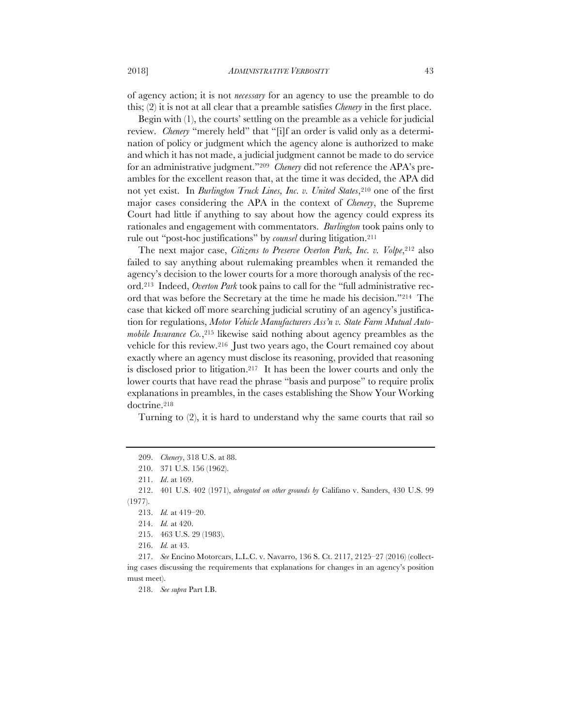of agency action; it is not *necessary* for an agency to use the preamble to do this; (2) it is not at all clear that a preamble satisfies *Chenery* in the first place.

Begin with (1), the courts' settling on the preamble as a vehicle for judicial review. *Chenery* "merely held" that "[i]f an order is valid only as a determination of policy or judgment which the agency alone is authorized to make and which it has not made, a judicial judgment cannot be made to do service for an administrative judgment."209 *Chenery* did not reference the APA's preambles for the excellent reason that, at the time it was decided, the APA did not yet exist. In *Burlington Truck Lines, Inc. v. United States*, <sup>210</sup> one of the first major cases considering the APA in the context of *Chenery*, the Supreme Court had little if anything to say about how the agency could express its rationales and engagement with commentators. *Burlington* took pains only to rule out "post-hoc justifications" by *counsel* during litigation.211

The next major case, *Citizens to Preserve Overton Park, Inc. v. Volpe*, <sup>212</sup> also failed to say anything about rulemaking preambles when it remanded the agency's decision to the lower courts for a more thorough analysis of the record.213 Indeed, *Overton Park* took pains to call for the "full administrative record that was before the Secretary at the time he made his decision."214 The case that kicked off more searching judicial scrutiny of an agency's justification for regulations, *Motor Vehicle Manufacturers Ass'n v. State Farm Mutual Automobile Insurance Co.*, <sup>215</sup> likewise said nothing about agency preambles as the vehicle for this review.216 Just two years ago, the Court remained coy about exactly where an agency must disclose its reasoning, provided that reasoning is disclosed prior to litigation.217 It has been the lower courts and only the lower courts that have read the phrase "basis and purpose" to require prolix explanations in preambles, in the cases establishing the Show Your Working doctrine.218

Turning to (2), it is hard to understand why the same courts that rail so

218. *See supra* Part I.B.

<sup>209.</sup> *Chenery*, 318 U.S. at 88.

<sup>210.</sup> 371 U.S. 156 (1962).

<sup>211.</sup> *Id*. at 169.

<sup>212.</sup> 401 U.S. 402 (1971), *abrogated on other grounds by* Califano v. Sanders, 430 U.S. 99 (1977).

<sup>213.</sup> *Id.* at 419–20.

<sup>214.</sup> *Id.* at 420.

<sup>215.</sup> 463 U.S. 29 (1983).

<sup>216.</sup> *Id.* at 43.

<sup>217.</sup> *See* Encino Motorcars, L.L.C. v. Navarro, 136 S. Ct. 2117, 2125–27 (2016) (collecting cases discussing the requirements that explanations for changes in an agency's position must meet).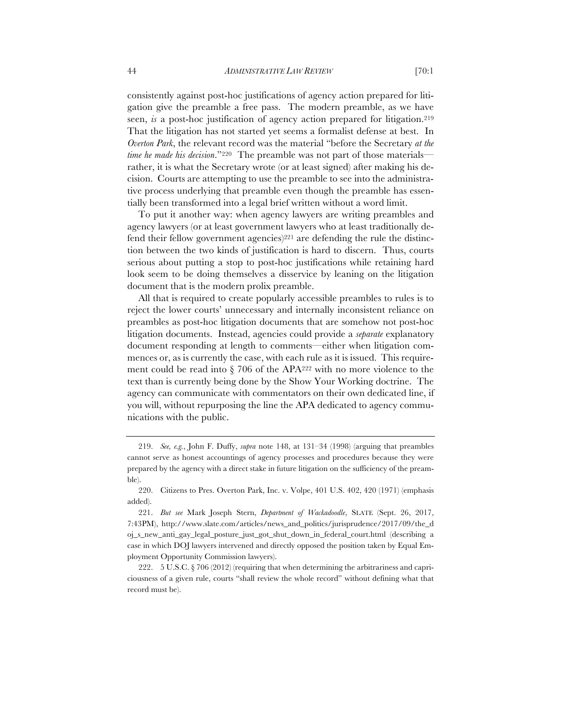consistently against post-hoc justifications of agency action prepared for litigation give the preamble a free pass. The modern preamble, as we have seen, *is* a post-hoc justification of agency action prepared for litigation.<sup>219</sup> That the litigation has not started yet seems a formalist defense at best. In *Overton Park*, the relevant record was the material "before the Secretary *at the time he made his decision*."220 The preamble was not part of those materials rather, it is what the Secretary wrote (or at least signed) after making his decision. Courts are attempting to use the preamble to see into the administrative process underlying that preamble even though the preamble has essentially been transformed into a legal brief written without a word limit.

To put it another way: when agency lawyers are writing preambles and agency lawyers (or at least government lawyers who at least traditionally defend their fellow government agencies)<sup>221</sup> are defending the rule the distinction between the two kinds of justification is hard to discern. Thus, courts serious about putting a stop to post-hoc justifications while retaining hard look seem to be doing themselves a disservice by leaning on the litigation document that is the modern prolix preamble.

All that is required to create popularly accessible preambles to rules is to reject the lower courts' unnecessary and internally inconsistent reliance on preambles as post-hoc litigation documents that are somehow not post-hoc litigation documents. Instead, agencies could provide a *separate* explanatory document responding at length to comments—either when litigation commences or, as is currently the case, with each rule as it is issued. This requirement could be read into § 706 of the APA222 with no more violence to the text than is currently being done by the Show Your Working doctrine. The agency can communicate with commentators on their own dedicated line, if you will, without repurposing the line the APA dedicated to agency communications with the public.

<sup>219.</sup> *See, e.g.*, John F. Duffy, *supra* note 148, at 131–34 (1998) (arguing that preambles cannot serve as honest accountings of agency processes and procedures because they were prepared by the agency with a direct stake in future litigation on the sufficiency of the preamble).

<sup>220.</sup> Citizens to Pres. Overton Park, Inc. v. Volpe, 401 U.S. 402, 420 (1971) (emphasis added).

<sup>221.</sup> *But see* Mark Joseph Stern, *Department of Wackadoodle*, SLATE (Sept. 26, 2017, 7:43PM), http://www.slate.com/articles/news\_and\_politics/jurisprudence/2017/09/the\_d oj\_s\_new\_anti\_gay\_legal\_posture\_just\_got\_shut\_down\_in\_federal\_court.html (describing a case in which DOJ lawyers intervened and directly opposed the position taken by Equal Employment Opportunity Commission lawyers).

<sup>222.</sup> 5 U.S.C. § 706 (2012) (requiring that when determining the arbitrariness and capriciousness of a given rule, courts "shall review the whole record" without defining what that record must be).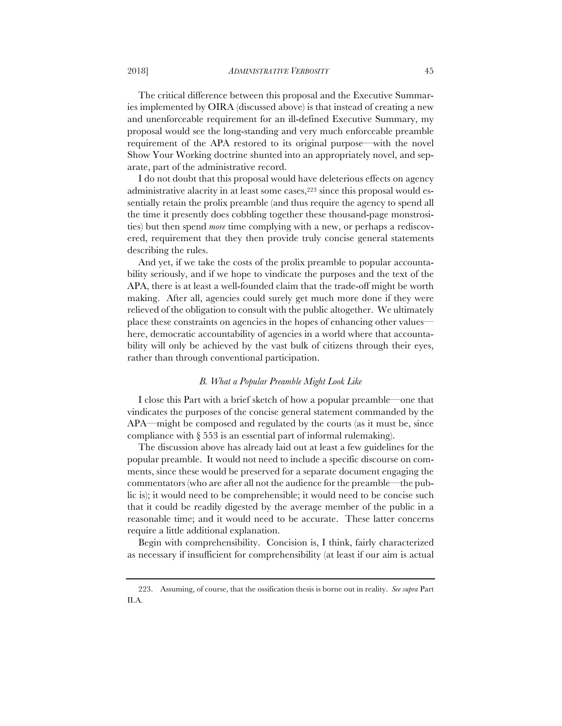The critical difference between this proposal and the Executive Summaries implemented by OIRA (discussed above) is that instead of creating a new and unenforceable requirement for an ill-defined Executive Summary, my proposal would see the long-standing and very much enforceable preamble requirement of the APA restored to its original purpose—with the novel Show Your Working doctrine shunted into an appropriately novel, and separate, part of the administrative record.

I do not doubt that this proposal would have deleterious effects on agency administrative alacrity in at least some cases,<sup>223</sup> since this proposal would essentially retain the prolix preamble (and thus require the agency to spend all the time it presently does cobbling together these thousand-page monstrosities) but then spend *more* time complying with a new, or perhaps a rediscovered, requirement that they then provide truly concise general statements describing the rules.

And yet, if we take the costs of the prolix preamble to popular accountability seriously, and if we hope to vindicate the purposes and the text of the APA, there is at least a well-founded claim that the trade-off might be worth making. After all, agencies could surely get much more done if they were relieved of the obligation to consult with the public altogether. We ultimately place these constraints on agencies in the hopes of enhancing other values here, democratic accountability of agencies in a world where that accountability will only be achieved by the vast bulk of citizens through their eyes, rather than through conventional participation.

#### *B. What a Popular Preamble Might Look Like*

I close this Part with a brief sketch of how a popular preamble—one that vindicates the purposes of the concise general statement commanded by the APA—might be composed and regulated by the courts (as it must be, since compliance with § 553 is an essential part of informal rulemaking).

The discussion above has already laid out at least a few guidelines for the popular preamble. It would not need to include a specific discourse on comments, since these would be preserved for a separate document engaging the commentators (who are after all not the audience for the preamble—the public is); it would need to be comprehensible; it would need to be concise such that it could be readily digested by the average member of the public in a reasonable time; and it would need to be accurate. These latter concerns require a little additional explanation.

Begin with comprehensibility. Concision is, I think, fairly characterized as necessary if insufficient for comprehensibility (at least if our aim is actual

<sup>223.</sup> Assuming, of course, that the ossification thesis is borne out in reality. *See supra* Part II.A.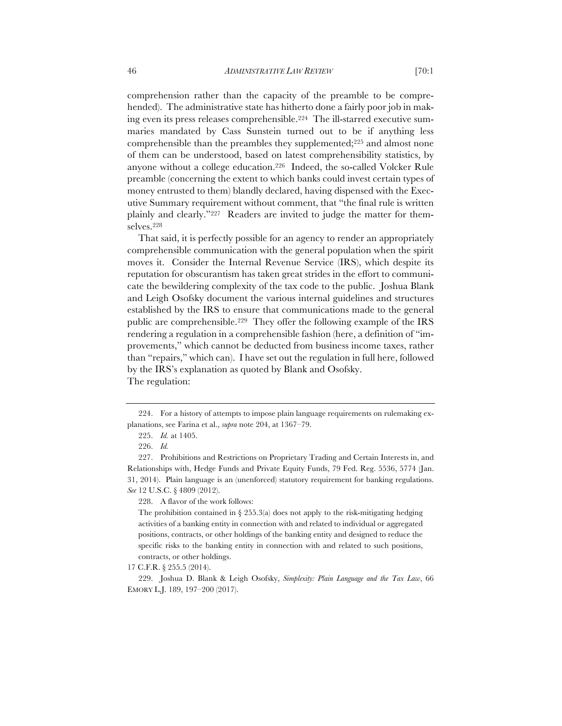comprehension rather than the capacity of the preamble to be comprehended). The administrative state has hitherto done a fairly poor job in making even its press releases comprehensible.224 The ill-starred executive summaries mandated by Cass Sunstein turned out to be if anything less comprehensible than the preambles they supplemented;225 and almost none of them can be understood, based on latest comprehensibility statistics, by anyone without a college education.226 Indeed, the so-called Volcker Rule preamble (concerning the extent to which banks could invest certain types of money entrusted to them) blandly declared, having dispensed with the Executive Summary requirement without comment, that "the final rule is written plainly and clearly."227 Readers are invited to judge the matter for themselves.228

That said, it is perfectly possible for an agency to render an appropriately comprehensible communication with the general population when the spirit moves it. Consider the Internal Revenue Service (IRS), which despite its reputation for obscurantism has taken great strides in the effort to communicate the bewildering complexity of the tax code to the public. Joshua Blank and Leigh Osofsky document the various internal guidelines and structures established by the IRS to ensure that communications made to the general public are comprehensible.229 They offer the following example of the IRS rendering a regulation in a comprehensible fashion (here, a definition of "improvements," which cannot be deducted from business income taxes, rather than "repairs," which can). I have set out the regulation in full here, followed by the IRS's explanation as quoted by Blank and Osofsky. The regulation:

<sup>224.</sup> For a history of attempts to impose plain language requirements on rulemaking explanations, see Farina et al., *supra* note 204, at 1367–79.

<sup>225.</sup> *Id.* at 1405.

<sup>226.</sup> *Id.*

<sup>227.</sup> Prohibitions and Restrictions on Proprietary Trading and Certain Interests in, and Relationships with, Hedge Funds and Private Equity Funds, 79 Fed. Reg. 5536, 5774 (Jan. 31, 2014). Plain language is an (unenforced) statutory requirement for banking regulations. *See* 12 U.S.C. § 4809 (2012).

<sup>228.</sup> A flavor of the work follows:

The prohibition contained in  $\S$  255.3(a) does not apply to the risk-mitigating hedging activities of a banking entity in connection with and related to individual or aggregated positions, contracts, or other holdings of the banking entity and designed to reduce the specific risks to the banking entity in connection with and related to such positions, contracts, or other holdings.

<sup>17</sup> C.F.R. § 255.5 (2014).

<sup>229.</sup> Joshua D. Blank & Leigh Osofsky, *Simplexity: Plain Language and the Tax Law*, 66 EMORY L.J. 189, 197–200 (2017).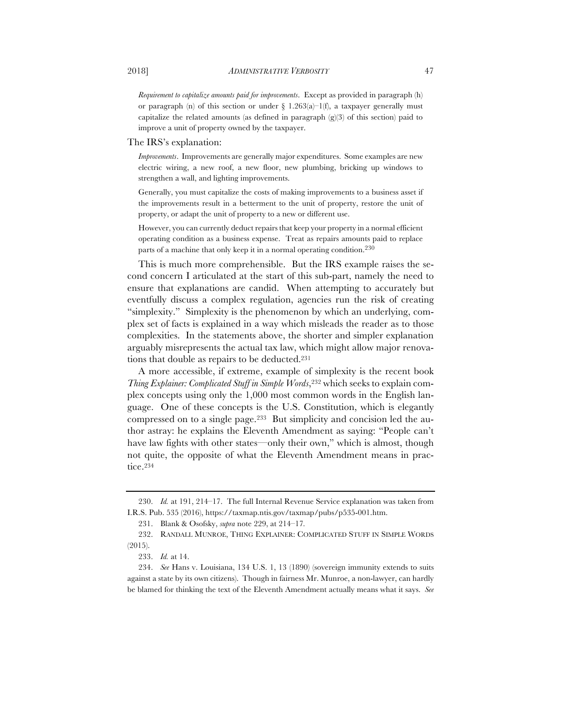*Requirement to capitalize amounts paid for improvements*. Except as provided in paragraph (h) or paragraph (n) of this section or under  $\S$  1.263(a)–1(f), a taxpayer generally must capitalize the related amounts (as defined in paragraph  $(g(3)$  of this section) paid to improve a unit of property owned by the taxpayer.

The IRS's explanation:

*Improvements*. Improvements are generally major expenditures. Some examples are new electric wiring, a new roof, a new floor, new plumbing, bricking up windows to strengthen a wall, and lighting improvements.

Generally, you must capitalize the costs of making improvements to a business asset if the improvements result in a betterment to the unit of property, restore the unit of property, or adapt the unit of property to a new or different use.

However, you can currently deduct repairs that keep your property in a normal efficient operating condition as a business expense. Treat as repairs amounts paid to replace parts of a machine that only keep it in a normal operating condition.<sup>230</sup>

This is much more comprehensible. But the IRS example raises the second concern I articulated at the start of this sub-part, namely the need to ensure that explanations are candid. When attempting to accurately but eventfully discuss a complex regulation, agencies run the risk of creating "simplexity." Simplexity is the phenomenon by which an underlying, complex set of facts is explained in a way which misleads the reader as to those complexities. In the statements above, the shorter and simpler explanation arguably misrepresents the actual tax law, which might allow major renovations that double as repairs to be deducted.231

A more accessible, if extreme, example of simplexity is the recent book *Thing Explainer: Complicated Stuff in Simple Words*,<sup>232</sup> which seeks to explain complex concepts using only the 1,000 most common words in the English language. One of these concepts is the U.S. Constitution, which is elegantly compressed on to a single page.233 But simplicity and concision led the author astray: he explains the Eleventh Amendment as saying: "People can't have law fights with other states—only their own," which is almost, though not quite, the opposite of what the Eleventh Amendment means in practice.234

<sup>230.</sup> *Id.* at 191, 214–17. The full Internal Revenue Service explanation was taken from I.R.S. Pub. 535 (2016), https://taxmap.ntis.gov/taxmap/pubs/p535-001.htm.

<sup>231.</sup> Blank & Osofsky, *supra* note 229, at 214–17*.*

<sup>232.</sup> RANDALL MUNROE, THING EXPLAINER: COMPLICATED STUFF IN SIMPLE WORDS (2015).

<sup>233.</sup> *Id.* at 14.

<sup>234.</sup> *See* Hans v. Louisiana, 134 U.S. 1, 13 (1890) (sovereign immunity extends to suits against a state by its own citizens). Though in fairness Mr. Munroe, a non-lawyer, can hardly be blamed for thinking the text of the Eleventh Amendment actually means what it says. *See*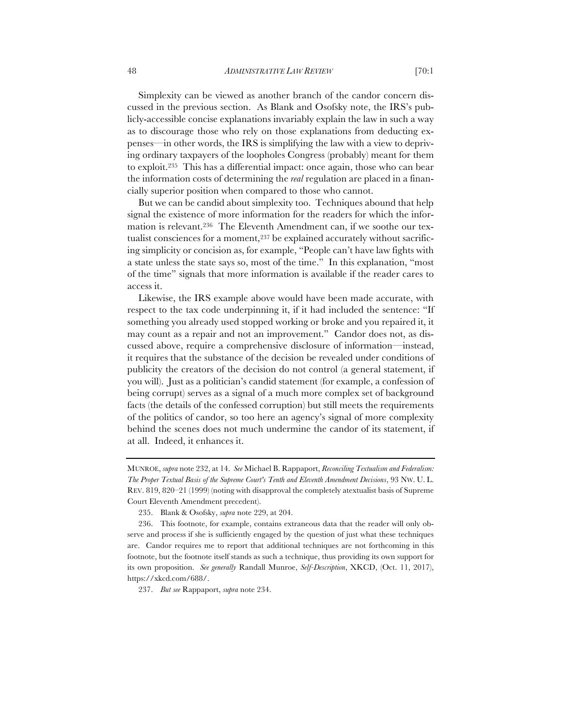Simplexity can be viewed as another branch of the candor concern discussed in the previous section. As Blank and Osofsky note, the IRS's publicly-accessible concise explanations invariably explain the law in such a way as to discourage those who rely on those explanations from deducting expenses—in other words, the IRS is simplifying the law with a view to depriving ordinary taxpayers of the loopholes Congress (probably) meant for them to exploit.235 This has a differential impact: once again, those who can bear the information costs of determining the *real* regulation are placed in a financially superior position when compared to those who cannot.

But we can be candid about simplexity too. Techniques abound that help signal the existence of more information for the readers for which the information is relevant.236 The Eleventh Amendment can, if we soothe our textualist consciences for a moment,<sup>237</sup> be explained accurately without sacrificing simplicity or concision as, for example, "People can't have law fights with a state unless the state says so, most of the time." In this explanation, "most of the time" signals that more information is available if the reader cares to access it.

Likewise, the IRS example above would have been made accurate, with respect to the tax code underpinning it, if it had included the sentence: "If something you already used stopped working or broke and you repaired it, it may count as a repair and not an improvement." Candor does not, as discussed above, require a comprehensive disclosure of information—instead, it requires that the substance of the decision be revealed under conditions of publicity the creators of the decision do not control (a general statement, if you will). Just as a politician's candid statement (for example, a confession of being corrupt) serves as a signal of a much more complex set of background facts (the details of the confessed corruption) but still meets the requirements of the politics of candor, so too here an agency's signal of more complexity behind the scenes does not much undermine the candor of its statement, if at all. Indeed, it enhances it.

237. *But see* Rappaport, *supra* note 234.

MUNROE, *supra* note 232, at 14. *See* Michael B. Rappaport, *Reconciling Textualism and Federalism: The Proper Textual Basis of the Supreme Court's Tenth and Eleventh Amendment Decisions*, 93 NW. U. L. REV. 819, 820–21 (1999) (noting with disapproval the completely atextualist basis of Supreme Court Eleventh Amendment precedent).

<sup>235.</sup> Blank & Osofsky, *supra* note 229, at 204.

<sup>236.</sup> This footnote, for example, contains extraneous data that the reader will only observe and process if she is sufficiently engaged by the question of just what these techniques are. Candor requires me to report that additional techniques are not forthcoming in this footnote, but the footnote itself stands as such a technique, thus providing its own support for its own proposition. *See generally* Randall Munroe, *Self-Description*, XKCD, (Oct. 11, 2017), https://xkcd.com/688/.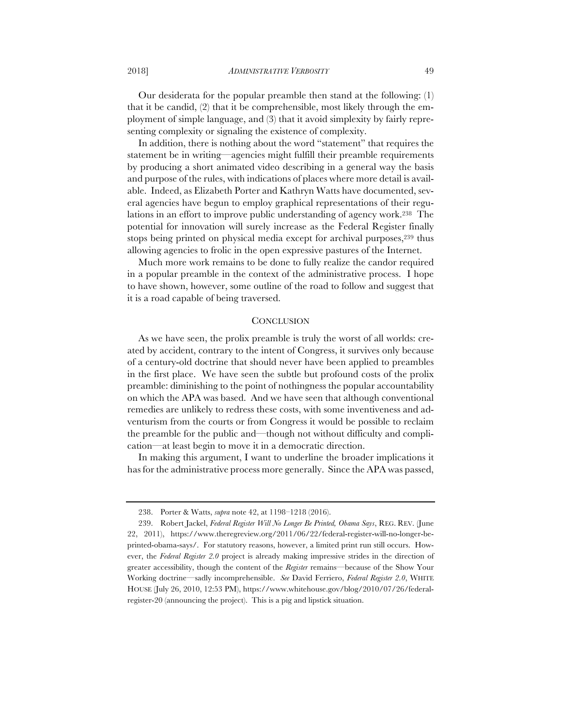Our desiderata for the popular preamble then stand at the following: (1) that it be candid, (2) that it be comprehensible, most likely through the employment of simple language, and (3) that it avoid simplexity by fairly representing complexity or signaling the existence of complexity.

In addition, there is nothing about the word "statement" that requires the statement be in writing—agencies might fulfill their preamble requirements by producing a short animated video describing in a general way the basis and purpose of the rules, with indications of places where more detail is available. Indeed, as Elizabeth Porter and Kathryn Watts have documented, several agencies have begun to employ graphical representations of their regulations in an effort to improve public understanding of agency work.238 The potential for innovation will surely increase as the Federal Register finally stops being printed on physical media except for archival purposes,<sup>239</sup> thus allowing agencies to frolic in the open expressive pastures of the Internet.

Much more work remains to be done to fully realize the candor required in a popular preamble in the context of the administrative process. I hope to have shown, however, some outline of the road to follow and suggest that it is a road capable of being traversed.

#### **CONCLUSION**

As we have seen, the prolix preamble is truly the worst of all worlds: created by accident, contrary to the intent of Congress, it survives only because of a century-old doctrine that should never have been applied to preambles in the first place. We have seen the subtle but profound costs of the prolix preamble: diminishing to the point of nothingness the popular accountability on which the APA was based. And we have seen that although conventional remedies are unlikely to redress these costs, with some inventiveness and adventurism from the courts or from Congress it would be possible to reclaim the preamble for the public and—though not without difficulty and complication—at least begin to move it in a democratic direction.

In making this argument, I want to underline the broader implications it has for the administrative process more generally. Since the APA was passed,

<sup>238.</sup> Porter & Watts, *supra* note 42, at 1198–1218 (2016).

<sup>239.</sup> Robert Jackel, *Federal Register Will No Longer Be Printed, Obama Says*, REG. REV. (June 22, 2011), https://www.theregreview.org/2011/06/22/federal-register-will-no-longer-beprinted-obama-says/. For statutory reasons, however, a limited print run still occurs. However, the *Federal Register 2.0* project is already making impressive strides in the direction of greater accessibility, though the content of the *Register* remains—because of the Show Your Working doctrine—sadly incomprehensible. *See* David Ferriero, *Federal Register 2.0*, WHITE HOUSE (July 26, 2010, 12:53 PM), https://www.whitehouse.gov/blog/2010/07/26/federalregister-20 (announcing the project). This is a pig and lipstick situation.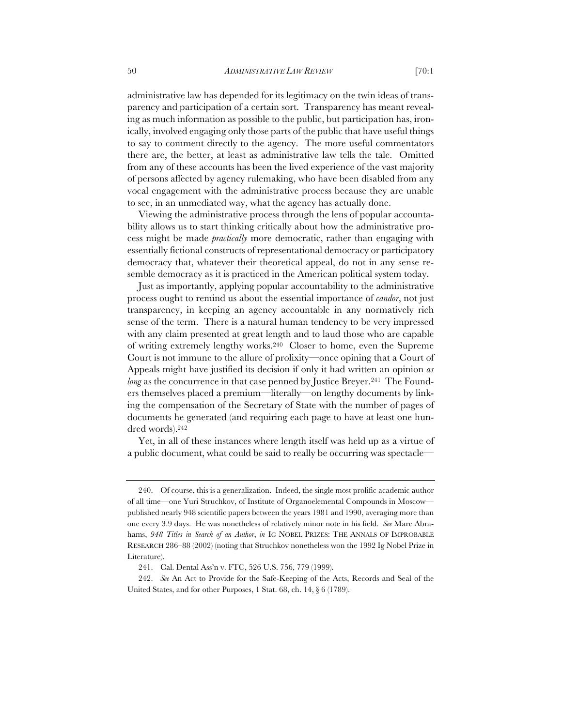administrative law has depended for its legitimacy on the twin ideas of transparency and participation of a certain sort. Transparency has meant revealing as much information as possible to the public, but participation has, ironically, involved engaging only those parts of the public that have useful things to say to comment directly to the agency. The more useful commentators there are, the better, at least as administrative law tells the tale. Omitted from any of these accounts has been the lived experience of the vast majority of persons affected by agency rulemaking, who have been disabled from any vocal engagement with the administrative process because they are unable to see, in an unmediated way, what the agency has actually done.

Viewing the administrative process through the lens of popular accountability allows us to start thinking critically about how the administrative process might be made *practically* more democratic, rather than engaging with essentially fictional constructs of representational democracy or participatory democracy that, whatever their theoretical appeal, do not in any sense resemble democracy as it is practiced in the American political system today.

Just as importantly, applying popular accountability to the administrative process ought to remind us about the essential importance of *candor*, not just transparency, in keeping an agency accountable in any normatively rich sense of the term. There is a natural human tendency to be very impressed with any claim presented at great length and to laud those who are capable of writing extremely lengthy works.240 Closer to home, even the Supreme Court is not immune to the allure of prolixity—once opining that a Court of Appeals might have justified its decision if only it had written an opinion *as long* as the concurrence in that case penned by Justice Breyer.<sup>241</sup> The Founders themselves placed a premium—literally—on lengthy documents by linking the compensation of the Secretary of State with the number of pages of documents he generated (and requiring each page to have at least one hundred words).242

Yet, in all of these instances where length itself was held up as a virtue of a public document, what could be said to really be occurring was spectacle—

<sup>240.</sup> Of course, this is a generalization. Indeed, the single most prolific academic author of all time—one Yuri Struchkov, of Institute of Organoelemental Compounds in Moscow published nearly 948 scientific papers between the years 1981 and 1990, averaging more than one every 3.9 days. He was nonetheless of relatively minor note in his field. *See* Marc Abrahams, *948 Titles in Search of an Author*, *in* IG NOBEL PRIZES: THE ANNALS OF IMPROBABLE RESEARCH 286–88 (2002) (noting that Struchkov nonetheless won the 1992 Ig Nobel Prize in Literature).

<sup>241.</sup> Cal. Dental Ass'n v. FTC, 526 U.S. 756, 779 (1999).

<sup>242.</sup> *See* An Act to Provide for the Safe-Keeping of the Acts, Records and Seal of the United States, and for other Purposes, 1 Stat. 68, ch. 14, § 6 (1789).